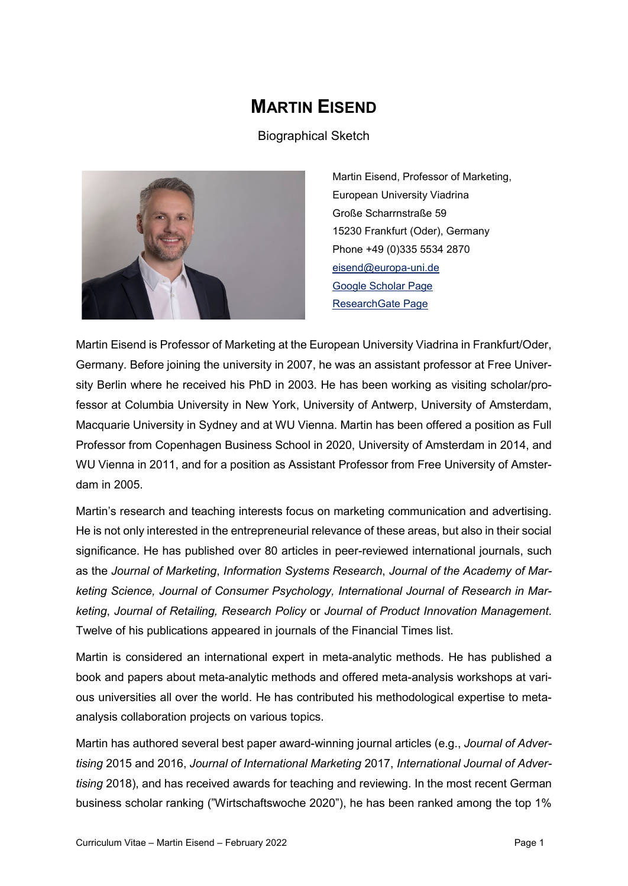# **MARTIN EISEND**

Biographical Sketch



Martin Eisend, Professor of Marketing, European University Viadrina Große Scharrnstraße 59 15230 Frankfurt (Oder), Germany Phone +49 (0)335 5534 2870 [eisend@europa-uni.de](mailto:eisend@europa-uni.de) [Google Scholar Page](https://scholar.google.com/citations?user=Dz4JAqsAAAAJ&hl=de) [ResearchGate Page](https://www.researchgate.net/profile/Martin_Eisend)

Martin Eisend is Professor of Marketing at the European University Viadrina in Frankfurt/Oder, Germany. Before joining the university in 2007, he was an assistant professor at Free University Berlin where he received his PhD in 2003. He has been working as visiting scholar/professor at Columbia University in New York, University of Antwerp, University of Amsterdam, Macquarie University in Sydney and at WU Vienna. Martin has been offered a position as Full Professor from Copenhagen Business School in 2020, University of Amsterdam in 2014, and WU Vienna in 2011, and for a position as Assistant Professor from Free University of Amsterdam in 2005.

Martin's research and teaching interests focus on marketing communication and advertising. He is not only interested in the entrepreneurial relevance of these areas, but also in their social significance. He has published over 80 articles in peer-reviewed international journals, such as the *Journal of Marketing*, *Information Systems Research*, *Journal of the Academy of Marketing Science, Journal of Consumer Psychology, International Journal of Research in Marketing*, *Journal of Retailing, Research Policy* or *Journal of Product Innovation Management*. Twelve of his publications appeared in journals of the Financial Times list.

Martin is considered an international expert in meta-analytic methods. He has published a book and papers about meta-analytic methods and offered meta-analysis workshops at various universities all over the world. He has contributed his methodological expertise to metaanalysis collaboration projects on various topics.

Martin has authored several best paper award-winning journal articles (e.g., *Journal of Advertising* 2015 and 2016, *Journal of International Marketing* 2017, *International Journal of Advertising* 2018), and has received awards for teaching and reviewing. In the most recent German business scholar ranking ("Wirtschaftswoche 2020"), he has been ranked among the top 1%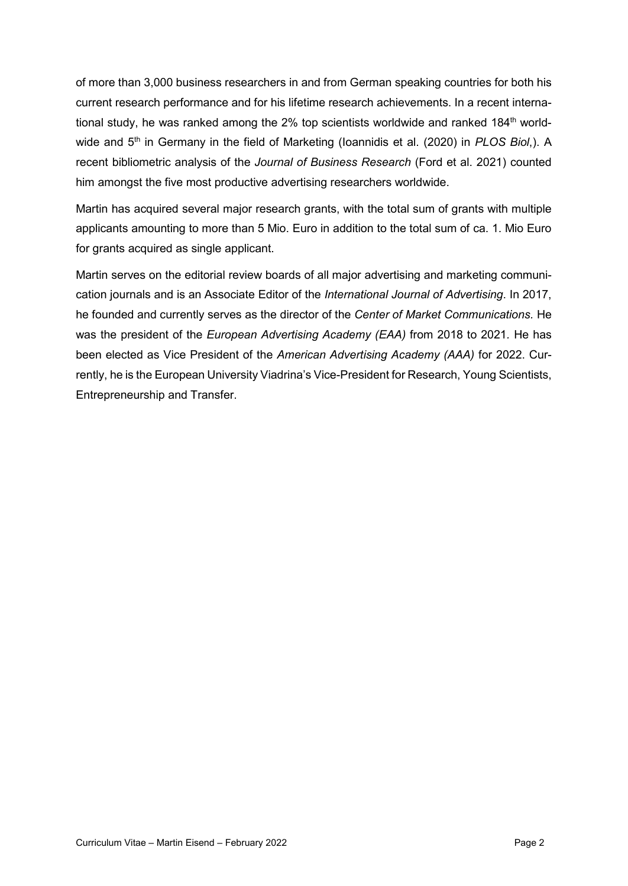of more than 3,000 business researchers in and from German speaking countries for both his current research performance and for his lifetime research achievements. In a recent international study, he was ranked among the 2% top scientists worldwide and ranked 184<sup>th</sup> worldwide and 5<sup>th</sup> in Germany in the field of Marketing (Ioannidis et al. (2020) in *PLOS Biol*,). A recent bibliometric analysis of the *Journal of Business Research* (Ford et al. 2021) counted him amongst the five most productive advertising researchers worldwide.

Martin has acquired several major research grants, with the total sum of grants with multiple applicants amounting to more than 5 Mio. Euro in addition to the total sum of ca. 1. Mio Euro for grants acquired as single applicant.

Martin serves on the editorial review boards of all major advertising and marketing communication journals and is an Associate Editor of the *International Journal of Advertising*. In 2017, he founded and currently serves as the director of the *Center of Market Communications.* He was the president of the *European Advertising Academy (EAA)* from 2018 to 2021*.* He has been elected as Vice President of the *American Advertising Academy (AAA)* for 2022. Currently, he is the European University Viadrina's Vice-President for Research, Young Scientists, Entrepreneurship and Transfer.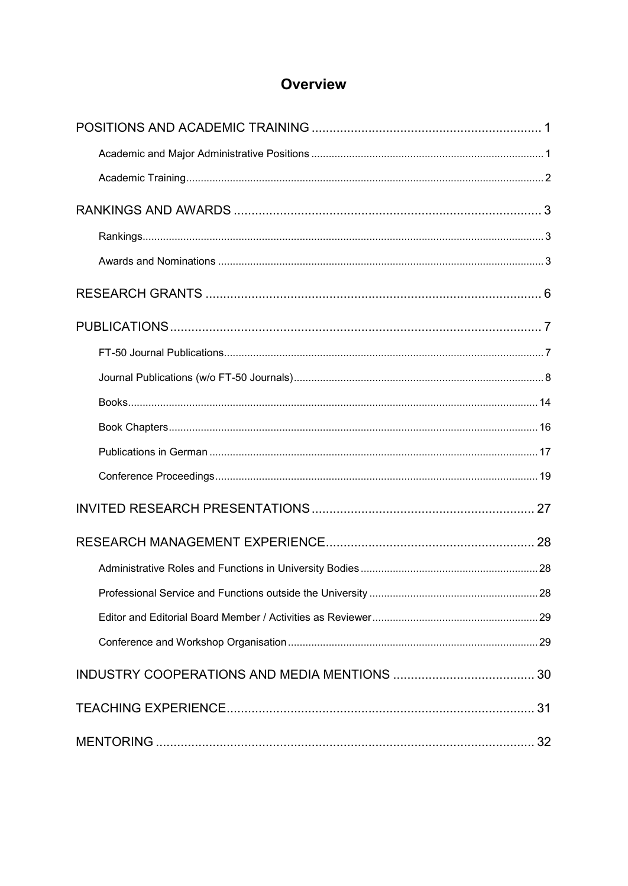# Overview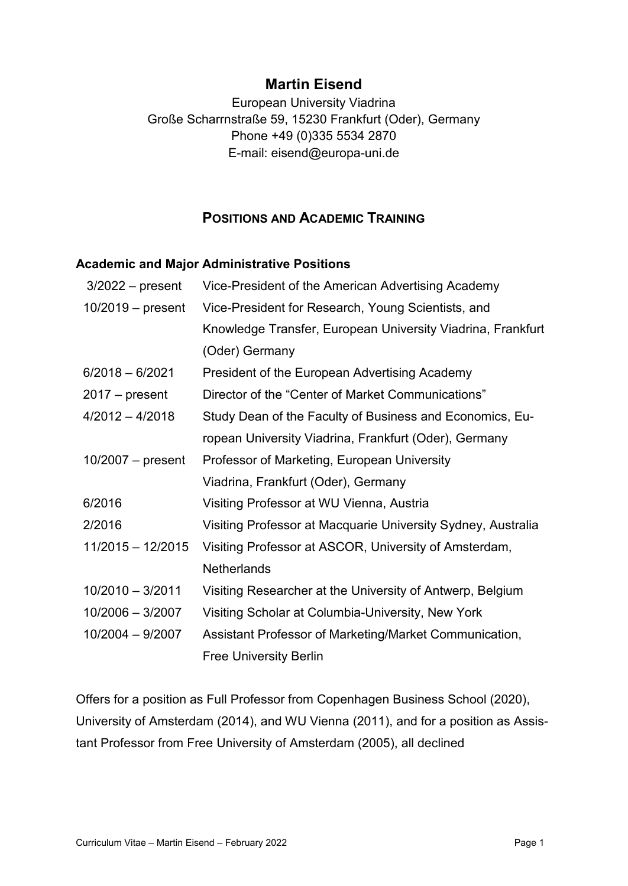## **Martin Eisend**

European University Viadrina Große Scharrnstraße 59, 15230 Frankfurt (Oder), Germany Phone +49 (0)335 5534 2870 E-mail: eisend@europa-uni.de

## **POSITIONS AND ACADEMIC TRAINING**

#### <span id="page-3-1"></span><span id="page-3-0"></span>**Academic and Major Administrative Positions**

| $3/2022 - present$  | Vice-President of the American Advertising Academy           |
|---------------------|--------------------------------------------------------------|
| $10/2019$ – present | Vice-President for Research, Young Scientists, and           |
|                     | Knowledge Transfer, European University Viadrina, Frankfurt  |
|                     | (Oder) Germany                                               |
| $6/2018 - 6/2021$   | President of the European Advertising Academy                |
| $2017 - present$    | Director of the "Center of Market Communications"            |
| $4/2012 - 4/2018$   | Study Dean of the Faculty of Business and Economics, Eu-     |
|                     | ropean University Viadrina, Frankfurt (Oder), Germany        |
| $10/2007$ – present | Professor of Marketing, European University                  |
|                     | Viadrina, Frankfurt (Oder), Germany                          |
| 6/2016              | Visiting Professor at WU Vienna, Austria                     |
| 2/2016              | Visiting Professor at Macquarie University Sydney, Australia |
| $11/2015 - 12/2015$ | Visiting Professor at ASCOR, University of Amsterdam,        |
|                     | <b>Netherlands</b>                                           |
| $10/2010 - 3/2011$  | Visiting Researcher at the University of Antwerp, Belgium    |
| $10/2006 - 3/2007$  | Visiting Scholar at Columbia-University, New York            |
| $10/2004 - 9/2007$  | Assistant Professor of Marketing/Market Communication,       |
|                     | <b>Free University Berlin</b>                                |

Offers for a position as Full Professor from Copenhagen Business School (2020), University of Amsterdam (2014), and WU Vienna (2011), and for a position as Assistant Professor from Free University of Amsterdam (2005), all declined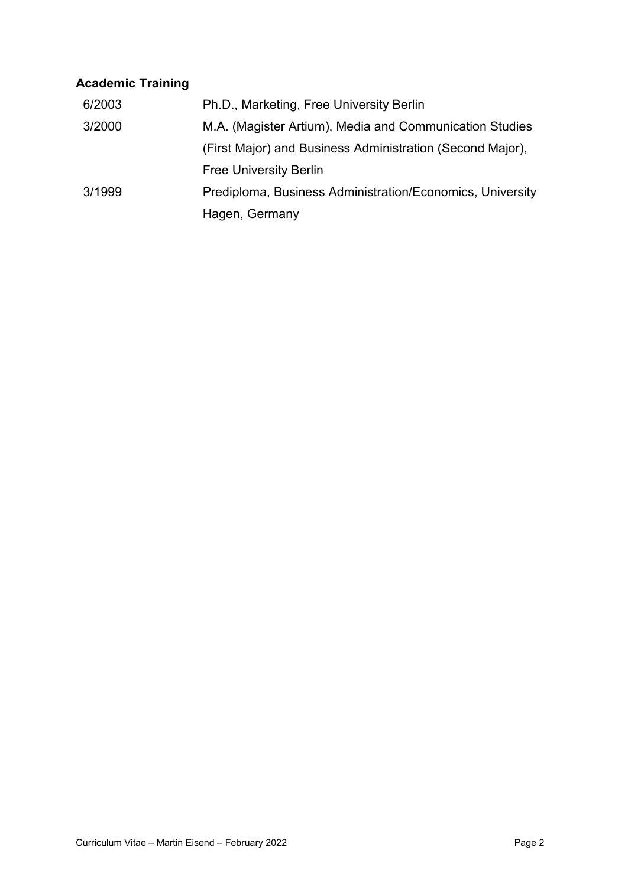# <span id="page-4-0"></span>**Academic Training**

<span id="page-4-1"></span>

| 6/2003 | Ph.D., Marketing, Free University Berlin                  |
|--------|-----------------------------------------------------------|
| 3/2000 | M.A. (Magister Artium), Media and Communication Studies   |
|        | (First Major) and Business Administration (Second Major), |
|        | <b>Free University Berlin</b>                             |
| 3/1999 | Prediploma, Business Administration/Economics, University |
|        | Hagen, Germany                                            |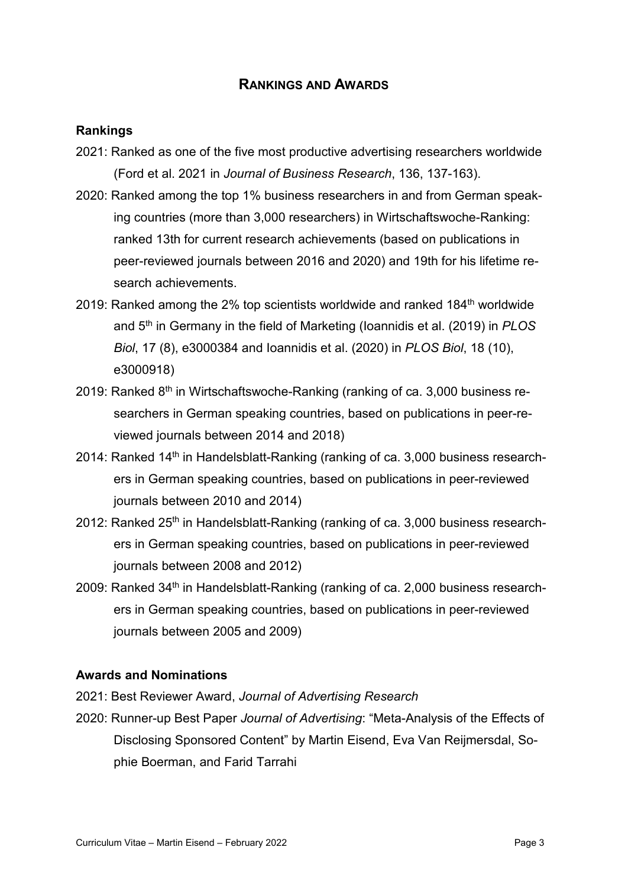## **RANKINGS AND AWARDS**

## <span id="page-5-0"></span>**Rankings**

- 2021: Ranked as one of the five most productive advertising researchers worldwide (Ford et al. 2021 in *Journal of Business Research*, 136, 137-163).
- 2020: Ranked among the top 1% business researchers in and from German speaking countries (more than 3,000 researchers) in Wirtschaftswoche-Ranking: ranked 13th for current research achievements (based on publications in peer-reviewed journals between 2016 and 2020) and 19th for his lifetime research achievements.
- 2019: Ranked among the 2% top scientists worldwide and ranked 184<sup>th</sup> worldwide and 5th in Germany in the field of Marketing (Ioannidis et al. (2019) in *PLOS Biol*, 17 (8), e3000384 and Ioannidis et al. (2020) in *PLOS Biol*, 18 (10), e3000918)
- 2019: Ranked  $8<sup>th</sup>$  in Wirtschaftswoche-Ranking (ranking of ca. 3,000 business researchers in German speaking countries, based on publications in peer-reviewed journals between 2014 and 2018)
- 2014: Ranked 14<sup>th</sup> in Handelsblatt-Ranking (ranking of ca. 3,000 business researchers in German speaking countries, based on publications in peer-reviewed journals between 2010 and 2014)
- 2012: Ranked  $25<sup>th</sup>$  in Handelsblatt-Ranking (ranking of ca. 3,000 business researchers in German speaking countries, based on publications in peer-reviewed journals between 2008 and 2012)
- 2009: Ranked 34<sup>th</sup> in Handelsblatt-Ranking (ranking of ca. 2,000 business researchers in German speaking countries, based on publications in peer-reviewed journals between 2005 and 2009)

## <span id="page-5-1"></span>**Awards and Nominations**

- 2021: Best Reviewer Award, *Journal of Advertising Research*
- 2020: Runner-up Best Paper *Journal of Advertising*: "Meta-Analysis of the Effects of Disclosing Sponsored Content" by Martin Eisend, Eva Van Reijmersdal, Sophie Boerman, and Farid Tarrahi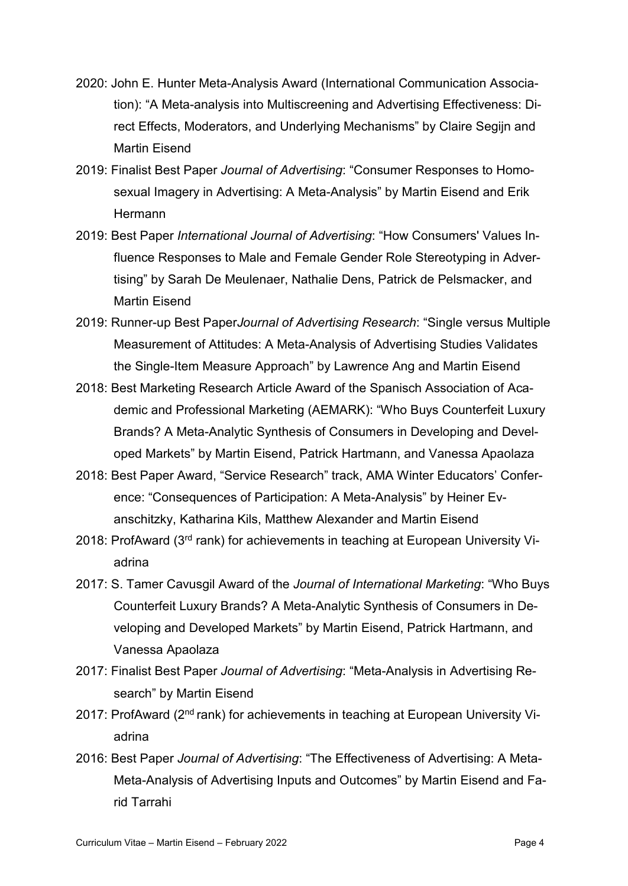- 2020: John E. Hunter Meta-Analysis Award (International Communication Association): "A Meta-analysis into Multiscreening and Advertising Effectiveness: Direct Effects, Moderators, and Underlying Mechanisms" by Claire Segijn and Martin Eisend
- 2019: Finalist Best Paper *Journal of Advertising*: "Consumer Responses to Homosexual Imagery in Advertising: A Meta-Analysis" by Martin Eisend and Erik **Hermann**
- 2019: Best Paper *International Journal of Advertising*: "How Consumers' Values Influence Responses to Male and Female Gender Role Stereotyping in Advertising" by Sarah De Meulenaer, Nathalie Dens, Patrick de Pelsmacker, and Martin Eisend
- 2019: Runner-up Best Paper*Journal of Advertising Research*: "Single versus Multiple Measurement of Attitudes: A Meta-Analysis of Advertising Studies Validates the Single-Item Measure Approach" by Lawrence Ang and Martin Eisend
- 2018: Best Marketing Research Article Award of the Spanisch Association of Academic and Professional Marketing (AEMARK): "Who Buys Counterfeit Luxury Brands? A Meta-Analytic Synthesis of Consumers in Developing and Developed Markets" by Martin Eisend, Patrick Hartmann, and Vanessa Apaolaza
- 2018: Best Paper Award, "Service Research" track, AMA Winter Educators' Conference: "Consequences of Participation: A Meta-Analysis" by Heiner Evanschitzky, Katharina Kils, Matthew Alexander and Martin Eisend
- 2018: ProfAward (3rd rank) for achievements in teaching at European University Viadrina
- 2017: S. Tamer Cavusgil Award of the *Journal of International Marketing*: "Who Buys Counterfeit Luxury Brands? A Meta-Analytic Synthesis of Consumers in Developing and Developed Markets" by Martin Eisend, Patrick Hartmann, and Vanessa Apaolaza
- 2017: Finalist Best Paper *Journal of Advertising*: "Meta-Analysis in Advertising Research" by Martin Eisend
- 2017: ProfAward (2<sup>nd</sup> rank) for achievements in teaching at European University Viadrina
- 2016: Best Paper *Journal of Advertising*: "The Effectiveness of Advertising: A Meta-Meta-Analysis of Advertising Inputs and Outcomes" by Martin Eisend and Farid Tarrahi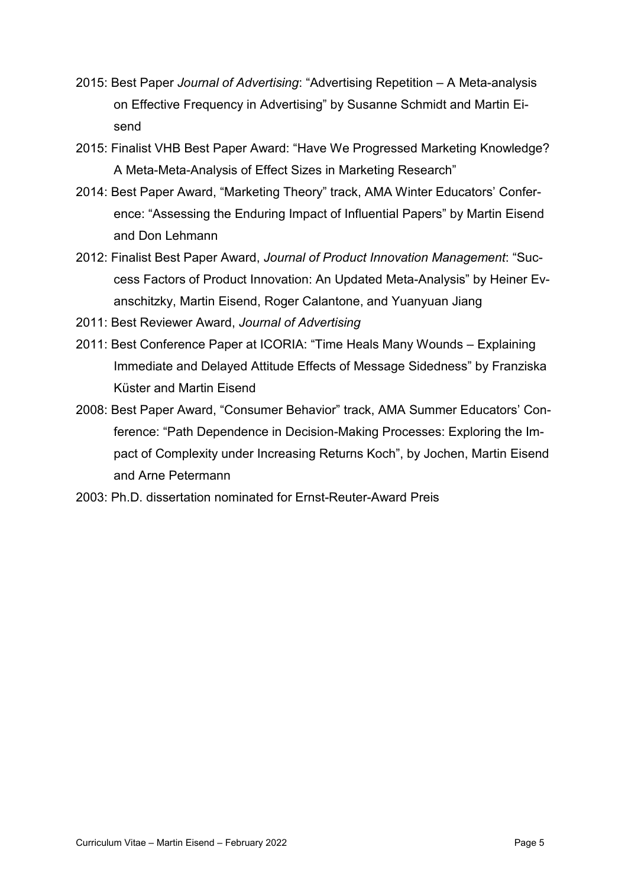- 2015: Best Paper *Journal of Advertising*: "Advertising Repetition A Meta-analysis on Effective Frequency in Advertising" by Susanne Schmidt and Martin Eisend
- 2015: Finalist VHB Best Paper Award: "Have We Progressed Marketing Knowledge? A Meta-Meta-Analysis of Effect Sizes in Marketing Research"
- 2014: Best Paper Award, "Marketing Theory" track, AMA Winter Educators' Conference: "Assessing the Enduring Impact of Influential Papers" by Martin Eisend and Don Lehmann
- 2012: Finalist Best Paper Award, *Journal of Product Innovation Management*: "Success Factors of Product Innovation: An Updated Meta-Analysis" by Heiner Evanschitzky, Martin Eisend, Roger Calantone, and Yuanyuan Jiang
- 2011: Best Reviewer Award, *Journal of Advertising*
- 2011: Best Conference Paper at ICORIA: "Time Heals Many Wounds Explaining Immediate and Delayed Attitude Effects of Message Sidedness" by Franziska Küster and Martin Eisend
- 2008: Best Paper Award, "Consumer Behavior" track, AMA Summer Educators' Conference: "Path Dependence in Decision-Making Processes: Exploring the Impact of Complexity under Increasing Returns Koch", by Jochen, Martin Eisend and Arne Petermann
- 2003: Ph.D. dissertation nominated for Ernst-Reuter-Award Preis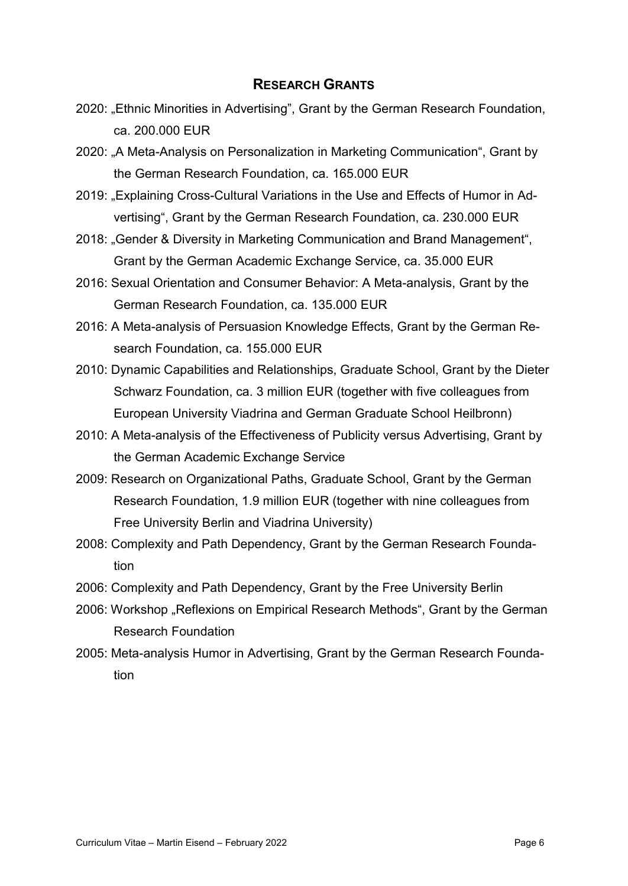## **RESEARCH GRANTS**

- <span id="page-8-0"></span>2020: "Ethnic Minorities in Advertising", Grant by the German Research Foundation, ca. 200.000 EUR
- 2020: "A Meta-Analysis on Personalization in Marketing Communication", Grant by the German Research Foundation, ca. 165.000 EUR
- 2019: "Explaining Cross-Cultural Variations in the Use and Effects of Humor in Advertising", Grant by the German Research Foundation, ca. 230.000 EUR
- 2018: "Gender & Diversity in Marketing Communication and Brand Management", Grant by the German Academic Exchange Service, ca. 35.000 EUR
- 2016: Sexual Orientation and Consumer Behavior: A Meta-analysis, Grant by the German Research Foundation, ca. 135.000 EUR
- 2016: A Meta-analysis of Persuasion Knowledge Effects, Grant by the German Research Foundation, ca. 155.000 EUR
- 2010: Dynamic Capabilities and Relationships, Graduate School, Grant by the Dieter Schwarz Foundation, ca. 3 million EUR (together with five colleagues from European University Viadrina and German Graduate School Heilbronn)
- 2010: A Meta-analysis of the Effectiveness of Publicity versus Advertising, Grant by the German Academic Exchange Service
- 2009: Research on Organizational Paths, Graduate School, Grant by the German Research Foundation, 1.9 million EUR (together with nine colleagues from Free University Berlin and Viadrina University)
- 2008: Complexity and Path Dependency, Grant by the German Research Foundation
- 2006: Complexity and Path Dependency, Grant by the Free University Berlin
- 2006: Workshop "Reflexions on Empirical Research Methods", Grant by the German Research Foundation
- 2005: Meta-analysis Humor in Advertising, Grant by the German Research Foundation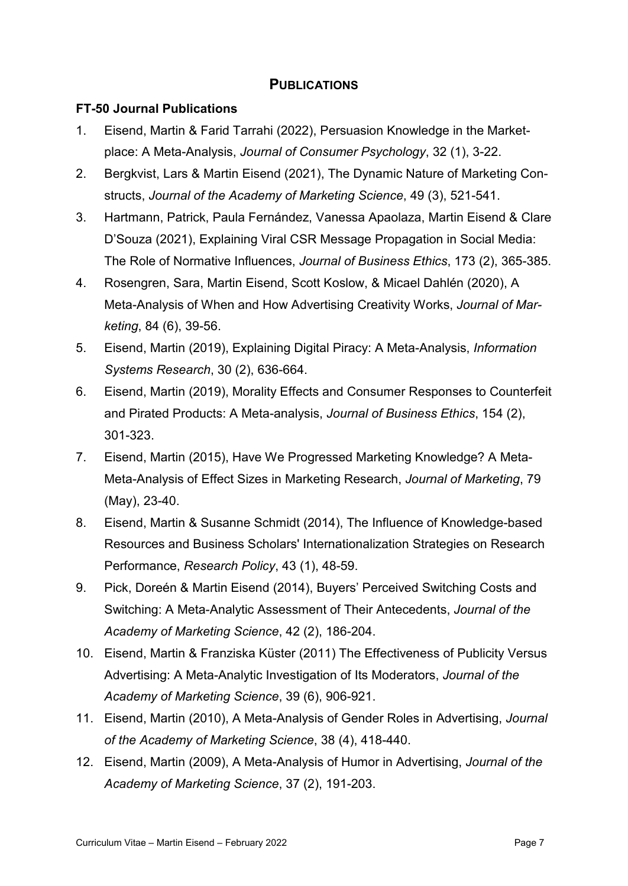## **PUBLICATIONS**

## <span id="page-9-1"></span><span id="page-9-0"></span>**FT-50 Journal Publications**

- 1. Eisend, Martin & Farid Tarrahi (2022), Persuasion Knowledge in the Marketplace: A Meta-Analysis, *Journal of Consumer Psychology*, 32 (1), 3-22.
- 2. Bergkvist, Lars & Martin Eisend (2021), The Dynamic Nature of Marketing Constructs, *Journal of the Academy of Marketing Science*, 49 (3), 521-541.
- 3. Hartmann, Patrick, Paula Fernández, Vanessa Apaolaza, Martin Eisend & Clare D'Souza (2021), Explaining Viral CSR Message Propagation in Social Media: The Role of Normative Influences, *Journal of Business Ethics*, 173 (2), 365-385.
- 4. Rosengren, Sara, Martin Eisend, Scott Koslow, & Micael Dahlén (2020), A Meta-Analysis of When and How Advertising Creativity Works, *Journal of Marketing*, 84 (6), 39-56.
- 5. Eisend, Martin (2019), Explaining Digital Piracy: A Meta-Analysis, *Information Systems Research*, 30 (2), 636-664.
- 6. Eisend, Martin (2019), Morality Effects and Consumer Responses to Counterfeit and Pirated Products: A Meta-analysis, *Journal of Business Ethics*, 154 (2), 301-323.
- 7. Eisend, Martin (2015), Have We Progressed Marketing Knowledge? A Meta-Meta-Analysis of Effect Sizes in Marketing Research, *Journal of Marketing*, 79 (May), 23-40.
- 8. Eisend, Martin & Susanne Schmidt (2014), The Influence of Knowledge-based Resources and Business Scholars' Internationalization Strategies on Research Performance, *Research Policy*, 43 (1), 48-59.
- 9. Pick, Doreén & Martin Eisend (2014), Buyers' Perceived Switching Costs and Switching: A Meta-Analytic Assessment of Their Antecedents, *Journal of the Academy of Marketing Science*, 42 (2), 186-204.
- 10. Eisend, Martin & Franziska Küster (2011) The Effectiveness of Publicity Versus Advertising: A Meta-Analytic Investigation of Its Moderators, *Journal of the Academy of Marketing Science*, 39 (6), 906-921.
- 11. Eisend, Martin (2010), A Meta-Analysis of Gender Roles in Advertising, *Journal of the Academy of Marketing Science*, 38 (4), 418-440.
- 12. Eisend, Martin (2009), A Meta-Analysis of Humor in Advertising, *Journal of the Academy of Marketing Science*, 37 (2), 191-203.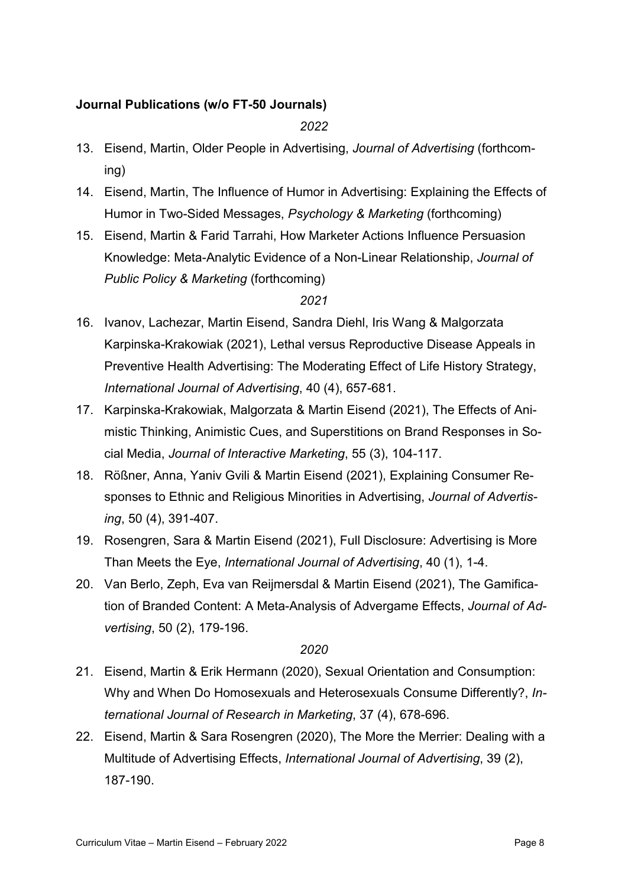## <span id="page-10-0"></span>**Journal Publications (w/o FT-50 Journals)**

*2022*

- 13. Eisend, Martin, Older People in Advertising, *Journal of Advertising* (forthcoming)
- 14. Eisend, Martin, The Influence of Humor in Advertising: Explaining the Effects of Humor in Two-Sided Messages, *Psychology & Marketing* (forthcoming)
- 15. Eisend, Martin & Farid Tarrahi, How Marketer Actions Influence Persuasion Knowledge: Meta-Analytic Evidence of a Non-Linear Relationship, *Journal of Public Policy & Marketing* (forthcoming)

## *2021*

- 16. Ivanov, Lachezar, Martin Eisend, Sandra Diehl, Iris Wang & Malgorzata Karpinska-Krakowiak (2021), Lethal versus Reproductive Disease Appeals in Preventive Health Advertising: The Moderating Effect of Life History Strategy, *International Journal of Advertising*, 40 (4), 657-681.
- 17. Karpinska-Krakowiak, Malgorzata & Martin Eisend (2021), The Effects of Animistic Thinking, Animistic Cues, and Superstitions on Brand Responses in Social Media, *Journal of Interactive Marketing*, 55 (3), 104-117.
- 18. Rößner, Anna, Yaniv Gvili & Martin Eisend (2021), Explaining Consumer Responses to Ethnic and Religious Minorities in Advertising, *Journal of Advertising*, 50 (4), 391-407.
- 19. Rosengren, Sara & Martin Eisend (2021), Full Disclosure: Advertising is More Than Meets the Eye, *International Journal of Advertising*, 40 (1), 1-4.
- 20. Van Berlo, Zeph, Eva van Reijmersdal & Martin Eisend (2021), The Gamification of Branded Content: A Meta-Analysis of Advergame Effects, *Journal of Advertising*, 50 (2), 179-196.

- 21. Eisend, Martin & Erik Hermann (2020), Sexual Orientation and Consumption: Why and When Do Homosexuals and Heterosexuals Consume Differently?, *International Journal of Research in Marketing*, 37 (4), 678-696.
- 22. Eisend, Martin & Sara Rosengren (2020), The More the Merrier: Dealing with a Multitude of Advertising Effects, *International Journal of Advertising*, 39 (2), 187-190.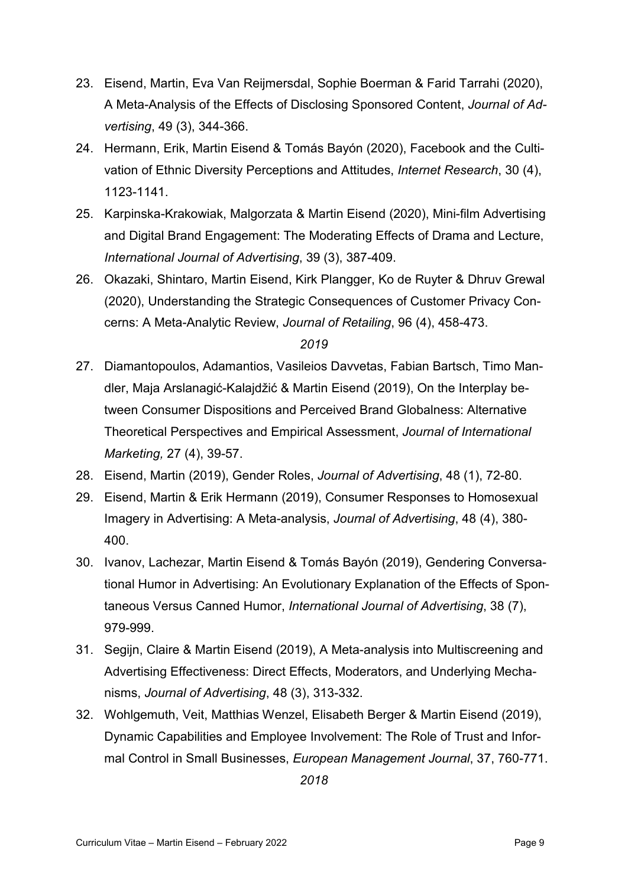- 23. Eisend, Martin, Eva Van Reijmersdal, Sophie Boerman & Farid Tarrahi (2020), A Meta-Analysis of the Effects of Disclosing Sponsored Content, *Journal of Advertising*, 49 (3), 344-366.
- 24. Hermann, Erik, Martin Eisend & Tomás Bayón (2020), Facebook and the Cultivation of Ethnic Diversity Perceptions and Attitudes, *Internet Research*, 30 (4), 1123-1141.
- 25. Karpinska-Krakowiak, Malgorzata & Martin Eisend (2020), Mini-film Advertising and Digital Brand Engagement: The Moderating Effects of Drama and Lecture, *International Journal of Advertising*, 39 (3), 387-409.
- 26. Okazaki, Shintaro, Martin Eisend, Kirk Plangger, Ko de Ruyter & Dhruv Grewal (2020), Understanding the Strategic Consequences of Customer Privacy Concerns: A Meta-Analytic Review, *Journal of Retailing*, 96 (4), 458-473.

## *2019*

- 27. Diamantopoulos, Adamantios, Vasileios Davvetas, Fabian Bartsch, Timo Mandler, Maja Arslanagić-Kalajdžić & Martin Eisend (2019), On the Interplay between Consumer Dispositions and Perceived Brand Globalness: Alternative Theoretical Perspectives and Empirical Assessment, *Journal of International Marketing,* 27 (4), 39-57.
- 28. Eisend, Martin (2019), Gender Roles, *Journal of Advertising*, 48 (1), 72-80.
- 29. Eisend, Martin & Erik Hermann (2019), Consumer Responses to Homosexual Imagery in Advertising: A Meta-analysis, *Journal of Advertising*, 48 (4), 380- 400.
- 30. Ivanov, Lachezar, Martin Eisend & Tomás Bayón (2019), Gendering Conversational Humor in Advertising: An Evolutionary Explanation of the Effects of Spontaneous Versus Canned Humor, *International Journal of Advertising*, 38 (7), 979-999.
- 31. Segijn, Claire & Martin Eisend (2019), A Meta-analysis into Multiscreening and Advertising Effectiveness: Direct Effects, Moderators, and Underlying Mechanisms, *Journal of Advertising*, 48 (3), 313-332.
- 32. Wohlgemuth, Veit, Matthias Wenzel, Elisabeth Berger & Martin Eisend (2019), Dynamic Capabilities and Employee Involvement: The Role of Trust and Informal Control in Small Businesses, *European Management Journal*, 37, 760-771.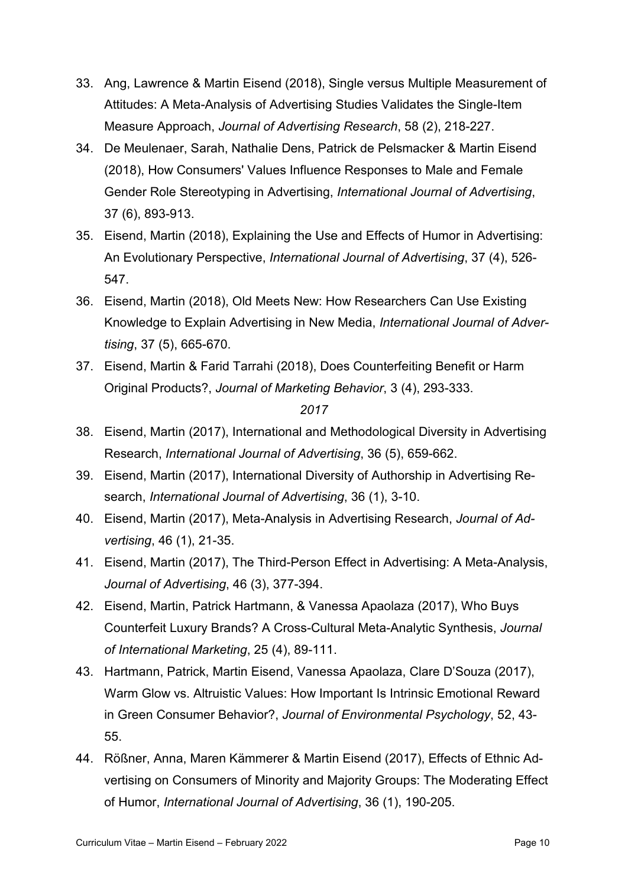- 33. Ang, Lawrence & Martin Eisend (2018), Single versus Multiple Measurement of Attitudes: A Meta-Analysis of Advertising Studies Validates the Single-Item Measure Approach, *Journal of Advertising Research*, 58 (2), 218-227.
- 34. De Meulenaer, Sarah, Nathalie Dens, Patrick de Pelsmacker & Martin Eisend (2018), How Consumers' Values Influence Responses to Male and Female Gender Role Stereotyping in Advertising, *International Journal of Advertising*, 37 (6), 893-913.
- 35. Eisend, Martin (2018), Explaining the Use and Effects of Humor in Advertising: An Evolutionary Perspective, *International Journal of Advertising*, 37 (4), 526- 547.
- 36. Eisend, Martin (2018), Old Meets New: How Researchers Can Use Existing Knowledge to Explain Advertising in New Media, *International Journal of Advertising*, 37 (5), 665-670.
- 37. Eisend, Martin & Farid Tarrahi (2018), Does Counterfeiting Benefit or Harm Original Products?, *Journal of Marketing Behavior*, 3 (4), 293-333.

- 38. Eisend, Martin (2017), International and Methodological Diversity in Advertising Research, *International Journal of Advertising*, 36 (5), 659-662.
- 39. Eisend, Martin (2017), International Diversity of Authorship in Advertising Research, *International Journal of Advertising*, 36 (1), 3-10.
- 40. Eisend, Martin (2017), Meta-Analysis in Advertising Research, *Journal of Advertising*, 46 (1), 21-35.
- 41. Eisend, Martin (2017), The Third-Person Effect in Advertising: A Meta-Analysis, *Journal of Advertising*, 46 (3), 377-394.
- 42. Eisend, Martin, Patrick Hartmann, & Vanessa Apaolaza (2017), Who Buys Counterfeit Luxury Brands? A Cross-Cultural Meta-Analytic Synthesis, *Journal of International Marketing*, 25 (4), 89-111.
- 43. Hartmann, Patrick, Martin Eisend, Vanessa Apaolaza, Clare D'Souza (2017), Warm Glow vs. Altruistic Values: How Important Is Intrinsic Emotional Reward in Green Consumer Behavior?, *Journal of Environmental Psychology*, 52, 43- 55.
- 44. Rößner, Anna, Maren Kämmerer & Martin Eisend (2017), Effects of Ethnic Advertising on Consumers of Minority and Majority Groups: The Moderating Effect of Humor, *International Journal of Advertising*, 36 (1), 190-205.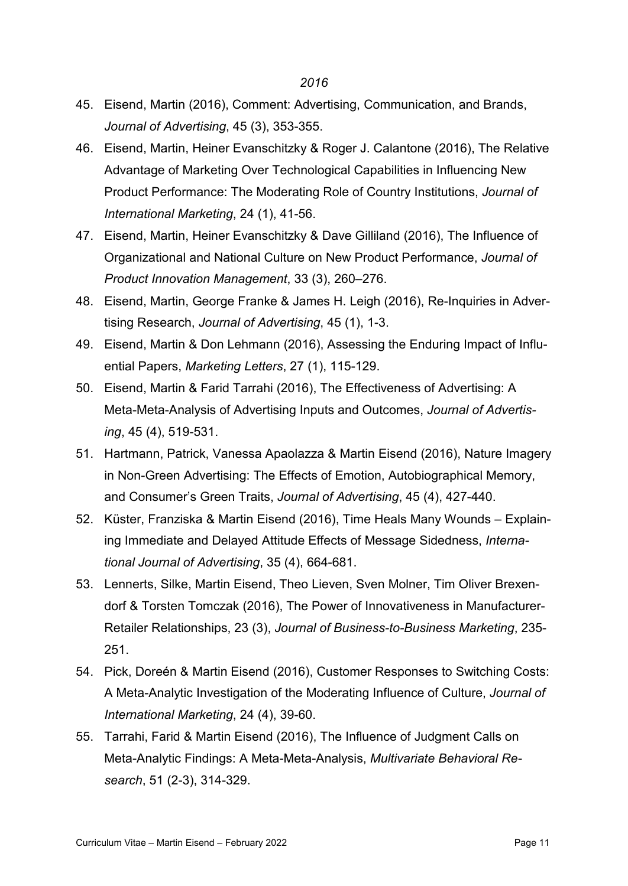- 45. Eisend, Martin (2016), Comment: Advertising, Communication, and Brands, *Journal of Advertising*, 45 (3), 353-355.
- 46. Eisend, Martin, Heiner Evanschitzky & Roger J. Calantone (2016), The Relative Advantage of Marketing Over Technological Capabilities in Influencing New Product Performance: The Moderating Role of Country Institutions, *Journal of International Marketing*, 24 (1), 41-56.
- 47. Eisend, Martin, Heiner Evanschitzky & Dave Gilliland (2016), The Influence of Organizational and National Culture on New Product Performance, *Journal of Product Innovation Management*, 33 (3), 260–276.
- 48. Eisend, Martin, George Franke & James H. Leigh (2016), Re-Inquiries in Advertising Research, *Journal of Advertising*, 45 (1), 1-3.
- 49. Eisend, Martin & Don Lehmann (2016), Assessing the Enduring Impact of Influential Papers, *Marketing Letters*, 27 (1), 115-129.
- 50. Eisend, Martin & Farid Tarrahi (2016), The Effectiveness of Advertising: A Meta-Meta-Analysis of Advertising Inputs and Outcomes, *Journal of Advertising*, 45 (4), 519-531.
- 51. Hartmann, Patrick, Vanessa Apaolazza & Martin Eisend (2016), Nature Imagery in Non-Green Advertising: The Effects of Emotion, Autobiographical Memory, and Consumer's Green Traits, *Journal of Advertising*, 45 (4), 427-440.
- 52. Küster, Franziska & Martin Eisend (2016), Time Heals Many Wounds Explaining Immediate and Delayed Attitude Effects of Message Sidedness, *International Journal of Advertising*, 35 (4), 664-681.
- 53. Lennerts, Silke, Martin Eisend, Theo Lieven, Sven Molner, Tim Oliver Brexendorf & Torsten Tomczak (2016), The Power of Innovativeness in Manufacturer-Retailer Relationships, 23 (3), *Journal of Business-to-Business Marketing*, 235- 251.
- 54. Pick, Doreén & Martin Eisend (2016), Customer Responses to Switching Costs: A Meta-Analytic Investigation of the Moderating Influence of Culture, *Journal of International Marketing*, 24 (4), 39-60.
- 55. Tarrahi, Farid & Martin Eisend (2016), The Influence of Judgment Calls on Meta-Analytic Findings: A Meta-Meta-Analysis, *Multivariate Behavioral Research*, 51 (2-3), 314-329.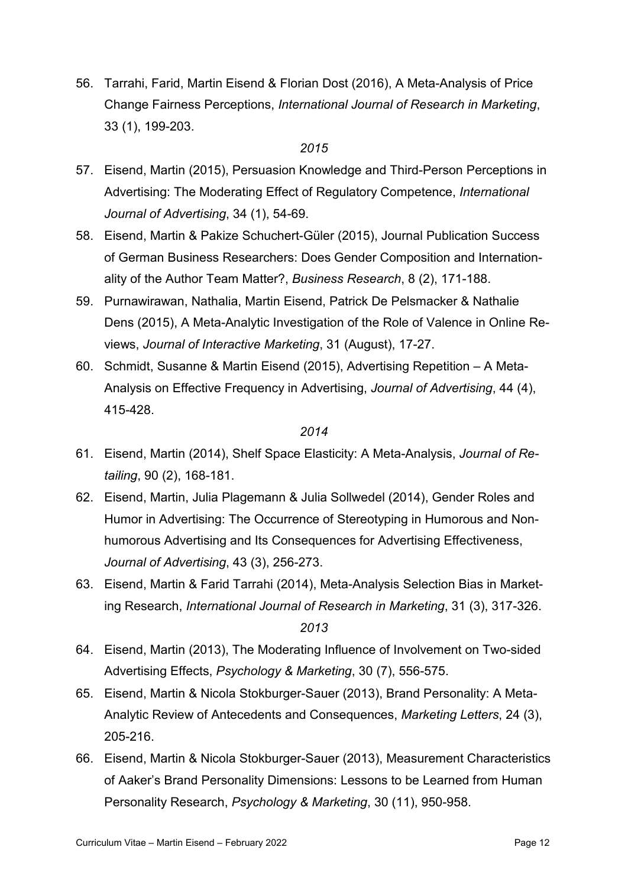56. Tarrahi, Farid, Martin Eisend & Florian Dost (2016), A Meta-Analysis of Price Change Fairness Perceptions, *International Journal of Research in Marketing*, 33 (1), 199-203.

## *2015*

- 57. Eisend, Martin (2015), Persuasion Knowledge and Third-Person Perceptions in Advertising: The Moderating Effect of Regulatory Competence, *International Journal of Advertising*, 34 (1), 54-69.
- 58. Eisend, Martin & Pakize Schuchert-Güler (2015), Journal Publication Success of German Business Researchers: Does Gender Composition and Internationality of the Author Team Matter?, *Business Research*, 8 (2), 171-188.
- 59. Purnawirawan, Nathalia, Martin Eisend, Patrick De Pelsmacker & Nathalie Dens (2015), A Meta-Analytic Investigation of the Role of Valence in Online Reviews, *Journal of Interactive Marketing*, 31 (August), 17-27.
- 60. Schmidt, Susanne & Martin Eisend (2015), Advertising Repetition A Meta-Analysis on Effective Frequency in Advertising, *Journal of Advertising*, 44 (4), 415-428.

- 61. Eisend, Martin (2014), Shelf Space Elasticity: A Meta-Analysis, *Journal of Retailing*, 90 (2), 168-181.
- 62. Eisend, Martin, Julia Plagemann & Julia Sollwedel (2014), Gender Roles and Humor in Advertising: The Occurrence of Stereotyping in Humorous and Nonhumorous Advertising and Its Consequences for Advertising Effectiveness, *Journal of Advertising*, 43 (3), 256-273.
- 63. Eisend, Martin & Farid Tarrahi (2014), Meta-Analysis Selection Bias in Marketing Research, *International Journal of Research in Marketing*, 31 (3), 317-326. *2013*
- 64. Eisend, Martin (2013), The Moderating Influence of Involvement on Two-sided Advertising Effects, *Psychology & Marketing*, 30 (7), 556-575.
- 65. Eisend, Martin & Nicola Stokburger-Sauer (2013), Brand Personality: A Meta-Analytic Review of Antecedents and Consequences, *Marketing Letters*, 24 (3), 205-216.
- 66. Eisend, Martin & Nicola Stokburger-Sauer (2013), Measurement Characteristics of Aaker's Brand Personality Dimensions: Lessons to be Learned from Human Personality Research, *Psychology & Marketing*, 30 (11), 950-958.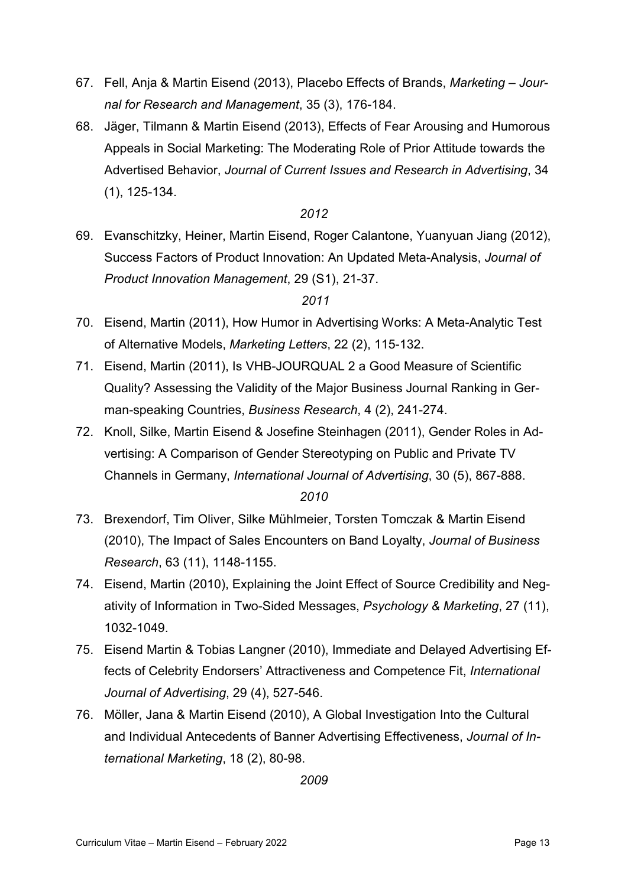- 67. Fell, Anja & Martin Eisend (2013), Placebo Effects of Brands, *Marketing – Journal for Research and Management*, 35 (3), 176-184.
- 68. Jäger, Tilmann & Martin Eisend (2013), Effects of Fear Arousing and Humorous Appeals in Social Marketing: The Moderating Role of Prior Attitude towards the Advertised Behavior, *Journal of Current Issues and Research in Advertising*, 34 (1), 125-134.

## *2012*

69. Evanschitzky, Heiner, Martin Eisend, Roger Calantone, Yuanyuan Jiang (2012), Success Factors of Product Innovation: An Updated Meta-Analysis, *Journal of Product Innovation Management*, 29 (S1), 21-37.

## *2011*

- 70. Eisend, Martin (2011), How Humor in Advertising Works: A Meta-Analytic Test of Alternative Models, *Marketing Letters*, 22 (2), 115-132.
- 71. Eisend, Martin (2011), Is VHB-JOURQUAL 2 a Good Measure of Scientific Quality? Assessing the Validity of the Major Business Journal Ranking in German-speaking Countries, *Business Research*, 4 (2), 241-274.
- 72. Knoll, Silke, Martin Eisend & Josefine Steinhagen (2011), Gender Roles in Advertising: A Comparison of Gender Stereotyping on Public and Private TV Channels in Germany, *International Journal of Advertising*, 30 (5), 867-888. *2010*
- 73. Brexendorf, Tim Oliver, Silke Mühlmeier, Torsten Tomczak & Martin Eisend (2010), The Impact of Sales Encounters on Band Loyalty, *Journal of Business Research*, 63 (11), 1148-1155.
- 74. Eisend, Martin (2010), Explaining the Joint Effect of Source Credibility and Negativity of Information in Two-Sided Messages, *Psychology & Marketing*, 27 (11), 1032-1049.
- 75. Eisend Martin & Tobias Langner (2010), Immediate and Delayed Advertising Effects of Celebrity Endorsers' Attractiveness and Competence Fit, *International Journal of Advertising*, 29 (4), 527-546.
- 76. Möller, Jana & Martin Eisend (2010), A Global Investigation Into the Cultural and Individual Antecedents of Banner Advertising Effectiveness, *Journal of International Marketing*, 18 (2), 80-98.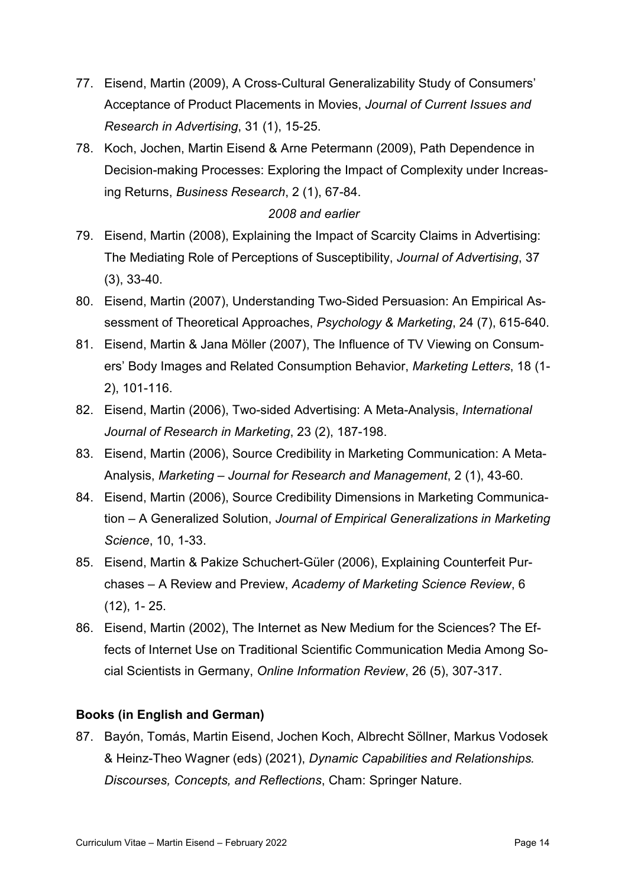- 77. Eisend, Martin (2009), A Cross-Cultural Generalizability Study of Consumers' Acceptance of Product Placements in Movies, *Journal of Current Issues and Research in Advertising*, 31 (1), 15-25.
- 78. Koch, Jochen, Martin Eisend & Arne Petermann (2009), Path Dependence in Decision-making Processes: Exploring the Impact of Complexity under Increasing Returns, *Business Research*, 2 (1), 67-84.

## *2008 and earlier*

- 79. Eisend, Martin (2008), Explaining the Impact of Scarcity Claims in Advertising: The Mediating Role of Perceptions of Susceptibility, *Journal of Advertising*, 37 (3), 33-40.
- 80. Eisend, Martin (2007), Understanding Two-Sided Persuasion: An Empirical Assessment of Theoretical Approaches, *Psychology & Marketing*, 24 (7), 615-640.
- 81. Eisend, Martin & Jana Möller (2007), The Influence of TV Viewing on Consumers' Body Images and Related Consumption Behavior, *Marketing Letters*, 18 (1- 2), 101-116.
- 82. Eisend, Martin (2006), Two-sided Advertising: A Meta-Analysis, *International Journal of Research in Marketing*, 23 (2), 187-198.
- 83. Eisend, Martin (2006), Source Credibility in Marketing Communication: A Meta-Analysis, *Marketing – Journal for Research and Management*, 2 (1), 43-60.
- 84. Eisend, Martin (2006), Source Credibility Dimensions in Marketing Communication – A Generalized Solution, *Journal of Empirical Generalizations in Marketing Science*, 10, 1-33.
- 85. Eisend, Martin & Pakize Schuchert-Güler (2006), Explaining Counterfeit Purchases – A Review and Preview, *Academy of Marketing Science Review*, 6 (12), 1- 25.
- 86. Eisend, Martin (2002), The Internet as New Medium for the Sciences? The Effects of Internet Use on Traditional Scientific Communication Media Among Social Scientists in Germany, *[Online Information Review](http://www.emeraldinsight.com/oir.htm)*, 26 (5), 307-317.

## <span id="page-16-0"></span>**Books (in English and German)**

87. Bayón, Tomás, Martin Eisend, Jochen Koch, Albrecht Söllner, Markus Vodosek & Heinz-Theo Wagner (eds) (2021), *Dynamic Capabilities and Relationships. Discourses, Concepts, and Reflections*, Cham: Springer Nature.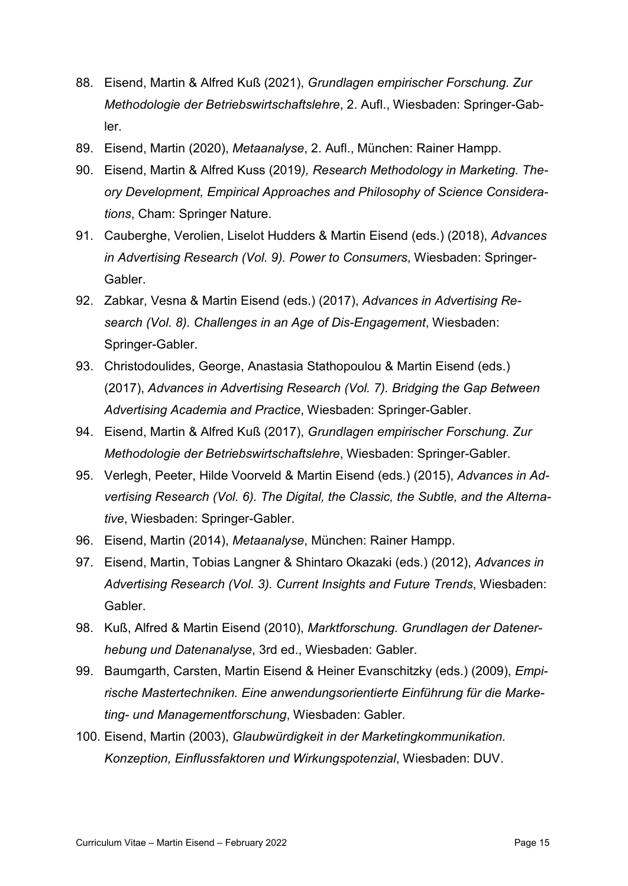- 88. Eisend, Martin & Alfred Kuß (2021), *Grundlagen empirischer Forschung. Zur Methodologie der Betriebswirtschaftslehre*, 2. Aufl., Wiesbaden: Springer-Gabler.
- 89. Eisend, Martin (2020), *Metaanalyse*, 2. Aufl., München: Rainer Hampp.
- 90. Eisend, Martin & Alfred Kuss (2019*), Research Methodology in Marketing. Theory Development, Empirical Approaches and Philosophy of Science Considerations*, Cham: Springer Nature.
- 91. Cauberghe, Verolien, Liselot Hudders & Martin Eisend (eds.) (2018), *Advances in Advertising Research (Vol. 9). Power to Consumers*, Wiesbaden: Springer-Gabler.
- 92. Zabkar, Vesna & Martin Eisend (eds.) (2017), *Advances in Advertising Research (Vol. 8). Challenges in an Age of Dis-Engagement*, Wiesbaden: Springer-Gabler.
- 93. Christodoulides, George, Anastasia Stathopoulou & Martin Eisend (eds.) (2017), *Advances in Advertising Research (Vol. 7). Bridging the Gap Between Advertising Academia and Practice*, Wiesbaden: Springer-Gabler.
- 94. Eisend, Martin & Alfred Kuß (2017), *Grundlagen empirischer Forschung. Zur Methodologie der Betriebswirtschaftslehre*, Wiesbaden: Springer-Gabler.
- 95. Verlegh, Peeter, Hilde Voorveld & Martin Eisend (eds.) (2015), *Advances in Advertising Research (Vol. 6). The Digital, the Classic, the Subtle, and the Alternative*, Wiesbaden: Springer-Gabler.
- 96. Eisend, Martin (2014), *Metaanalyse*, München: Rainer Hampp.
- 97. Eisend, Martin, Tobias Langner & Shintaro Okazaki (eds.) (2012), *Advances in Advertising Research (Vol. 3). Current Insights and Future Trends*, Wiesbaden: Gabler.
- 98. Kuß, Alfred & Martin Eisend (2010), *Marktforschung. Grundlagen der Datenerhebung und Datenanalyse*, 3rd ed., Wiesbaden: Gabler.
- 99. Baumgarth, Carsten, Martin Eisend & Heiner Evanschitzky (eds.) (2009), *Empirische Mastertechniken. Eine anwendungsorientierte Einführung für die Marketing- und Managementforschung*, Wiesbaden: Gabler.
- <span id="page-17-0"></span>100. Eisend, Martin (2003), *Glaubwürdigkeit in der Marketingkommunikation. Konzeption, Einflussfaktoren und Wirkungspotenzial*, Wiesbaden: DUV.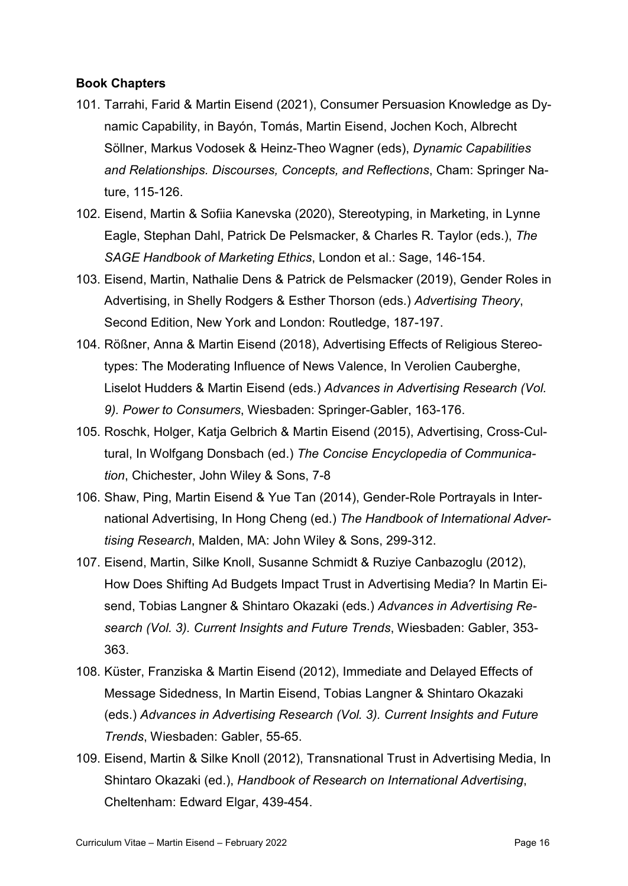## **Book Chapters**

- 101. Tarrahi, Farid & Martin Eisend (2021), Consumer Persuasion Knowledge as Dynamic Capability, in Bayón, Tomás, Martin Eisend, Jochen Koch, Albrecht Söllner, Markus Vodosek & Heinz-Theo Wagner (eds), *Dynamic Capabilities and Relationships. Discourses, Concepts, and Reflections*, Cham: Springer Nature, 115-126.
- 102. Eisend, Martin & Sofiia Kanevska (2020), Stereotyping, in Marketing, in Lynne Eagle, Stephan Dahl, Patrick De Pelsmacker, & Charles R. Taylor (eds.), *The SAGE Handbook of Marketing Ethics*, London et al.: Sage, 146-154.
- 103. Eisend, Martin, Nathalie Dens & Patrick de Pelsmacker (2019), Gender Roles in Advertising, in Shelly Rodgers & Esther Thorson (eds.) *Advertising Theory*, Second Edition, New York and London: Routledge, 187-197.
- 104. Rößner, Anna & Martin Eisend (2018), Advertising Effects of Religious Stereotypes: The Moderating Influence of News Valence, In Verolien Cauberghe, Liselot Hudders & Martin Eisend (eds.) *Advances in Advertising Research (Vol. 9). Power to Consumers*, Wiesbaden: Springer-Gabler, 163-176.
- 105. Roschk, Holger, Katja Gelbrich & Martin Eisend (2015), Advertising, Cross-Cultural, In Wolfgang Donsbach (ed.) *The Concise Encyclopedia of Communication*, Chichester, John Wiley & Sons, 7-8
- 106. Shaw, Ping, Martin Eisend & Yue Tan (2014), Gender-Role Portrayals in International Advertising, In Hong Cheng (ed.) *The Handbook of International Advertising Research*, Malden, MA: John Wiley & Sons, 299-312.
- 107. Eisend, Martin, Silke Knoll, Susanne Schmidt & Ruziye Canbazoglu (2012), How Does Shifting Ad Budgets Impact Trust in Advertising Media? In Martin Eisend, Tobias Langner & Shintaro Okazaki (eds.) *Advances in Advertising Research (Vol. 3). Current Insights and Future Trends*, Wiesbaden: Gabler, 353- 363.
- 108. Küster, Franziska & Martin Eisend (2012), Immediate and Delayed Effects of Message Sidedness, In Martin Eisend, Tobias Langner & Shintaro Okazaki (eds.) *Advances in Advertising Research (Vol. 3). Current Insights and Future Trends*, Wiesbaden: Gabler, 55-65.
- 109. Eisend, Martin & Silke Knoll (2012), Transnational Trust in Advertising Media, In Shintaro Okazaki (ed.), *Handbook of Research on International Advertising*, Cheltenham: Edward Elgar, 439-454.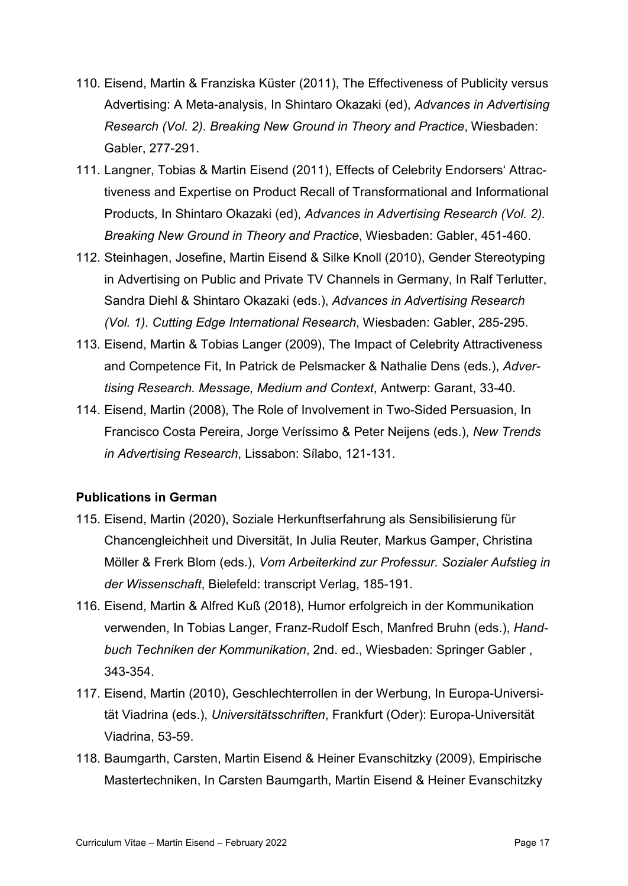- 110. Eisend, Martin & Franziska Küster (2011), The Effectiveness of Publicity versus Advertising: A Meta-analysis, In Shintaro Okazaki (ed), *Advances in Advertising Research (Vol. 2). Breaking New Ground in Theory and Practice*, Wiesbaden: Gabler, 277-291.
- 111. Langner, Tobias & Martin Eisend (2011), Effects of Celebrity Endorsers' Attractiveness and Expertise on Product Recall of Transformational and Informational Products, In Shintaro Okazaki (ed), *Advances in Advertising Research (Vol. 2). Breaking New Ground in Theory and Practice*, Wiesbaden: Gabler, 451-460.
- 112. Steinhagen, Josefine, Martin Eisend & Silke Knoll (2010), Gender Stereotyping in Advertising on Public and Private TV Channels in Germany, In Ralf Terlutter, Sandra Diehl & Shintaro Okazaki (eds.), *Advances in Advertising Research (Vol. 1). Cutting Edge International Research*, Wiesbaden: Gabler, 285-295.
- 113. Eisend, Martin & Tobias Langer (2009), The Impact of Celebrity Attractiveness and Competence Fit, In Patrick de Pelsmacker & Nathalie Dens (eds.), *Advertising Research. Message, Medium and Context*, Antwerp: Garant, 33-40.
- 114. Eisend, Martin (2008), The Role of Involvement in Two-Sided Persuasion, In Francisco Costa Pereira, Jorge Veríssimo & Peter Neijens (eds.), *New Trends in Advertising Research*, Lissabon: Sílabo, 121-131.

## <span id="page-19-0"></span>**Publications in German**

- 115. Eisend, Martin (2020), Soziale Herkunftserfahrung als Sensibilisierung für Chancengleichheit und Diversität, In Julia Reuter, Markus Gamper, Christina Möller & Frerk Blom (eds.), *Vom Arbeiterkind zur Professur. Sozialer Aufstieg in der Wissenschaft*, Bielefeld: transcript Verlag, 185-191.
- 116. Eisend, Martin & Alfred Kuß (2018), Humor erfolgreich in der Kommunikation verwenden, In Tobias Langer, Franz-Rudolf Esch, Manfred Bruhn (eds.), *Handbuch Techniken der Kommunikation*, 2nd. ed., Wiesbaden: Springer Gabler , 343-354.
- 117. Eisend, Martin (2010), Geschlechterrollen in der Werbung, In Europa-Universität Viadrina (eds.), *Universitätsschriften*, Frankfurt (Oder): Europa-Universität Viadrina, 53-59.
- 118. Baumgarth, Carsten, Martin Eisend & Heiner Evanschitzky (2009), Empirische Mastertechniken, In Carsten Baumgarth, Martin Eisend & Heiner Evanschitzky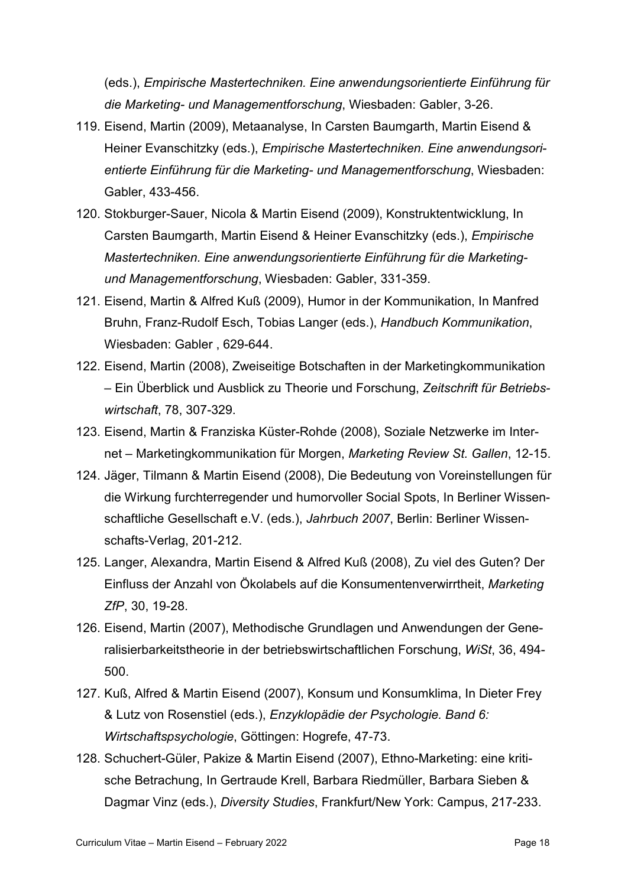(eds.), *Empirische Mastertechniken. Eine anwendungsorientierte Einführung für die Marketing- und Managementforschung*, Wiesbaden: Gabler, 3-26.

- 119. Eisend, Martin (2009), Metaanalyse, In Carsten Baumgarth, Martin Eisend & Heiner Evanschitzky (eds.), *Empirische Mastertechniken. Eine anwendungsorientierte Einführung für die Marketing- und Managementforschung*, Wiesbaden: Gabler, 433-456.
- 120. Stokburger-Sauer, Nicola & Martin Eisend (2009), Konstruktentwicklung, In Carsten Baumgarth, Martin Eisend & Heiner Evanschitzky (eds.), *Empirische Mastertechniken. Eine anwendungsorientierte Einführung für die Marketingund Managementforschung*, Wiesbaden: Gabler, 331-359.
- 121. Eisend, Martin & Alfred Kuß (2009), Humor in der Kommunikation, In Manfred Bruhn, Franz-Rudolf Esch, Tobias Langer (eds.), *Handbuch Kommunikation*, Wiesbaden: Gabler , 629-644.
- 122. Eisend, Martin (2008), Zweiseitige Botschaften in der Marketingkommunikation – Ein Überblick und Ausblick zu Theorie und Forschung, *Zeitschrift für Betriebswirtschaft*, 78, 307-329.
- 123. Eisend, Martin & Franziska Küster-Rohde (2008), Soziale Netzwerke im Internet – Marketingkommunikation für Morgen, *Marketing Review St. Gallen*, 12-15.
- 124. Jäger, Tilmann & Martin Eisend (2008), Die Bedeutung von Voreinstellungen für die Wirkung furchterregender und humorvoller Social Spots, In Berliner Wissenschaftliche Gesellschaft e.V. (eds.), *Jahrbuch 2007*, Berlin: Berliner Wissenschafts-Verlag, 201-212.
- 125. Langer, Alexandra, Martin Eisend & Alfred Kuß (2008), Zu viel des Guten? Der Einfluss der Anzahl von Ökolabels auf die Konsumentenverwirrtheit, *Marketing ZfP*, 30, 19-28.
- 126. Eisend, Martin (2007), Methodische Grundlagen und Anwendungen der Generalisierbarkeitstheorie in der betriebswirtschaftlichen Forschung, *WiSt*, 36, 494- 500.
- 127. Kuß, Alfred & Martin Eisend (2007), Konsum und Konsumklima, In Dieter Frey & Lutz von Rosenstiel (eds.), *Enzyklopädie der Psychologie. Band 6: Wirtschaftspsychologie*, Göttingen: Hogrefe, 47-73.
- 128. Schuchert-Güler, Pakize & Martin Eisend (2007), Ethno-Marketing: eine kritische Betrachung, In Gertraude Krell, Barbara Riedmüller, Barbara Sieben & Dagmar Vinz (eds.), *Diversity Studies*, Frankfurt/New York: Campus, 217-233.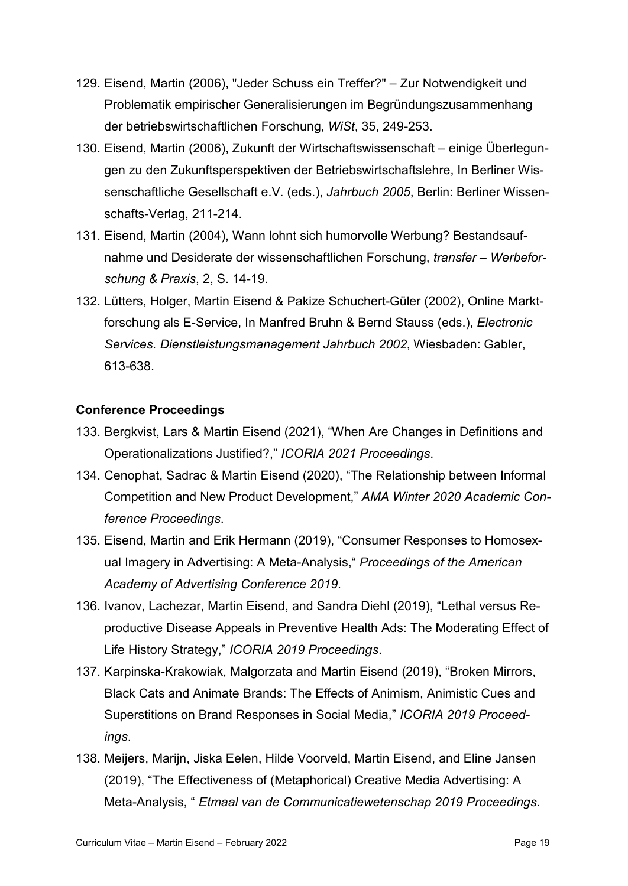- 129. Eisend, Martin (2006), "Jeder Schuss ein Treffer?" Zur Notwendigkeit und Problematik empirischer Generalisierungen im Begründungszusammenhang der betriebswirtschaftlichen Forschung, *WiSt*, 35, 249-253.
- 130. Eisend, Martin (2006), Zukunft der Wirtschaftswissenschaft einige Überlegungen zu den Zukunftsperspektiven der Betriebswirtschaftslehre, In Berliner Wissenschaftliche Gesellschaft e.V. (eds.), *Jahrbuch 2005*, Berlin: Berliner Wissenschafts-Verlag, 211-214.
- 131. Eisend, Martin (2004), Wann lohnt sich humorvolle Werbung? Bestandsaufnahme und Desiderate der wissenschaftlichen Forschung, *transfer – Werbeforschung & Praxis*, 2, S. 14-19.
- 132. Lütters, Holger, Martin Eisend & Pakize Schuchert-Güler (2002), Online Marktforschung als E-Service, In Manfred Bruhn & Bernd Stauss (eds.), *Electronic Services. Dienstleistungsmanagement Jahrbuch 2002*, Wiesbaden: Gabler, 613-638.

## <span id="page-21-0"></span>**Conference Proceedings**

- 133. Bergkvist, Lars & Martin Eisend (2021), "When Are Changes in Definitions and Operationalizations Justified?," *ICORIA 2021 Proceedings*.
- 134. Cenophat, Sadrac & Martin Eisend (2020), "The Relationship between Informal Competition and New Product Development," *AMA Winter 2020 Academic Conference Proceedings*.
- 135. Eisend, Martin and Erik Hermann (2019), "Consumer Responses to Homosexual Imagery in Advertising: A Meta-Analysis," *Proceedings of the American Academy of Advertising Conference 2019*.
- 136. Ivanov, Lachezar, Martin Eisend, and Sandra Diehl (2019), "Lethal versus Reproductive Disease Appeals in Preventive Health Ads: The Moderating Effect of Life History Strategy," *ICORIA 2019 Proceedings*.
- 137. Karpinska-Krakowiak, Malgorzata and Martin Eisend (2019), "Broken Mirrors, Black Cats and Animate Brands: The Effects of Animism, Animistic Cues and Superstitions on Brand Responses in Social Media," *ICORIA 2019 Proceedings*.
- 138. Meijers, Marijn, Jiska Eelen, Hilde Voorveld, Martin Eisend, and Eline Jansen (2019), "The Effectiveness of (Metaphorical) Creative Media Advertising: A Meta-Analysis, " *Etmaal van de Communicatiewetenschap 2019 Proceedings*.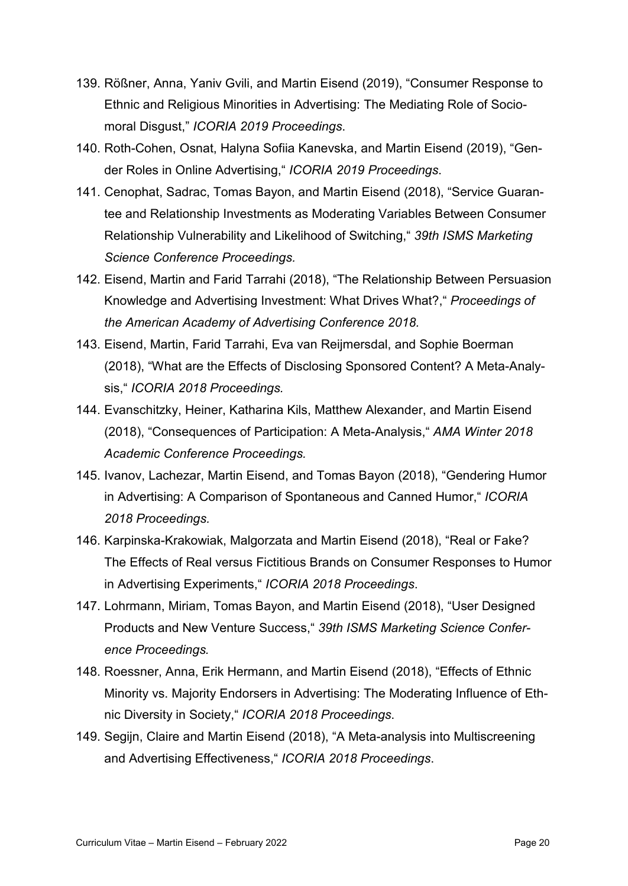- 139. Rößner, Anna, Yaniv Gvili, and Martin Eisend (2019), "Consumer Response to Ethnic and Religious Minorities in Advertising: The Mediating Role of Sociomoral Disgust," *ICORIA 2019 Proceedings*.
- 140. Roth-Cohen, Osnat, Halyna Sofiia Kanevska, and Martin Eisend (2019), "Gender Roles in Online Advertising," *ICORIA 2019 Proceedings*.
- 141. Cenophat, Sadrac, Tomas Bayon, and Martin Eisend (2018), "Service Guarantee and Relationship Investments as Moderating Variables Between Consumer Relationship Vulnerability and Likelihood of Switching," *39th ISMS Marketing Science Conference Proceedings.*
- 142. Eisend, Martin and Farid Tarrahi (2018), "The Relationship Between Persuasion Knowledge and Advertising Investment: What Drives What?," *Proceedings of the American Academy of Advertising Conference 2018.*
- 143. Eisend, Martin, Farid Tarrahi, Eva van Reijmersdal, and Sophie Boerman (2018), "What are the Effects of Disclosing Sponsored Content? A Meta-Analysis," *ICORIA 2018 Proceedings.*
- 144. Evanschitzky, Heiner, Katharina Kils, Matthew Alexander, and Martin Eisend (2018), "Consequences of Participation: A Meta-Analysis," *AMA Winter 2018 Academic Conference Proceedings.*
- 145. Ivanov, Lachezar, Martin Eisend, and Tomas Bayon (2018), "Gendering Humor in Advertising: A Comparison of Spontaneous and Canned Humor," *ICORIA 2018 Proceedings.*
- 146. Karpinska-Krakowiak, Malgorzata and Martin Eisend (2018), "Real or Fake? The Effects of Real versus Fictitious Brands on Consumer Responses to Humor in Advertising Experiments," *ICORIA 2018 Proceedings*.
- 147. Lohrmann, Miriam, Tomas Bayon, and Martin Eisend (2018), "User Designed Products and New Venture Success," *39th ISMS Marketing Science Conference Proceedings.*
- 148. Roessner, Anna, Erik Hermann, and Martin Eisend (2018), "Effects of Ethnic Minority vs. Majority Endorsers in Advertising: The Moderating Influence of Ethnic Diversity in Society," *ICORIA 2018 Proceedings*.
- 149. Segijn, Claire and Martin Eisend (2018), "A Meta-analysis into Multiscreening and Advertising Effectiveness," *ICORIA 2018 Proceedings*.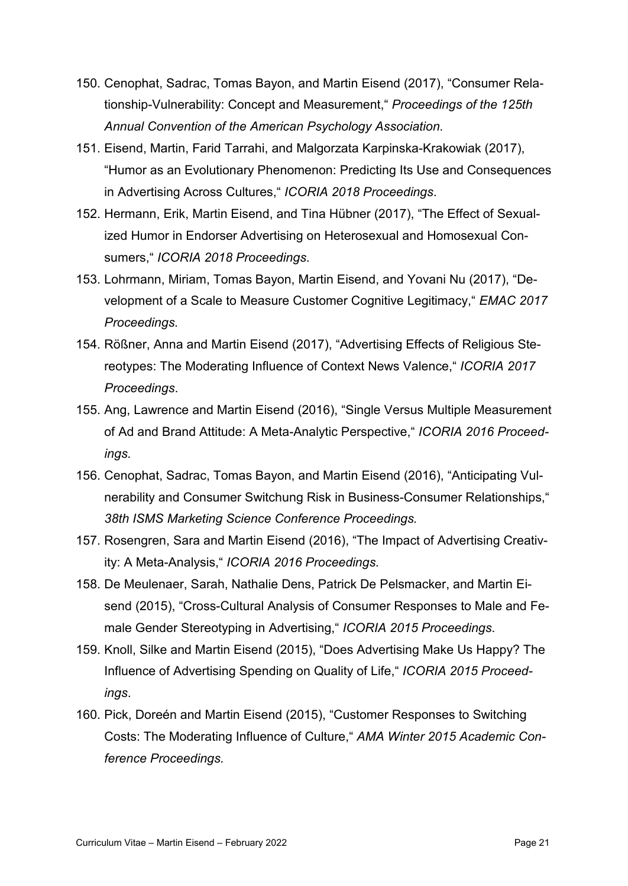- 150. Cenophat, Sadrac, Tomas Bayon, and Martin Eisend (2017), "Consumer Relationship-Vulnerability: Concept and Measurement," *Proceedings of the 125th Annual Convention of the American Psychology Association.*
- 151. Eisend, Martin, Farid Tarrahi, and Malgorzata Karpinska-Krakowiak (2017), "Humor as an Evolutionary Phenomenon: Predicting Its Use and Consequences in Advertising Across Cultures," *ICORIA 2018 Proceedings*.
- 152. Hermann, Erik, Martin Eisend, and Tina Hübner (2017), "The Effect of Sexualized Humor in Endorser Advertising on Heterosexual and Homosexual Consumers," *ICORIA 2018 Proceedings*.
- 153. Lohrmann, Miriam, Tomas Bayon, Martin Eisend, and Yovani Nu (2017), "Development of a Scale to Measure Customer Cognitive Legitimacy," *EMAC 2017 Proceedings.*
- 154. Rößner, Anna and Martin Eisend (2017), "Advertising Effects of Religious Stereotypes: The Moderating Influence of Context News Valence," *ICORIA 2017 Proceedings*.
- 155. Ang, Lawrence and Martin Eisend (2016), "Single Versus Multiple Measurement of Ad and Brand Attitude: A Meta-Analytic Perspective," *ICORIA 2016 Proceedings.*
- 156. Cenophat, Sadrac, Tomas Bayon, and Martin Eisend (2016), "Anticipating Vulnerability and Consumer Switchung Risk in Business-Consumer Relationships," *38th ISMS Marketing Science Conference Proceedings.*
- 157. Rosengren, Sara and Martin Eisend (2016), "The Impact of Advertising Creativity: A Meta-Analysis," *ICORIA 2016 Proceedings.*
- 158. De Meulenaer, Sarah, Nathalie Dens, Patrick De Pelsmacker, and Martin Eisend (2015), "Cross-Cultural Analysis of Consumer Responses to Male and Female Gender Stereotyping in Advertising," *ICORIA 2015 Proceedings*.
- 159. Knoll, Silke and Martin Eisend (2015), "Does Advertising Make Us Happy? The Influence of Advertising Spending on Quality of Life," *ICORIA 2015 Proceedings*.
- 160. Pick, Doreén and Martin Eisend (2015), "Customer Responses to Switching Costs: The Moderating Influence of Culture," *AMA Winter 2015 Academic Conference Proceedings.*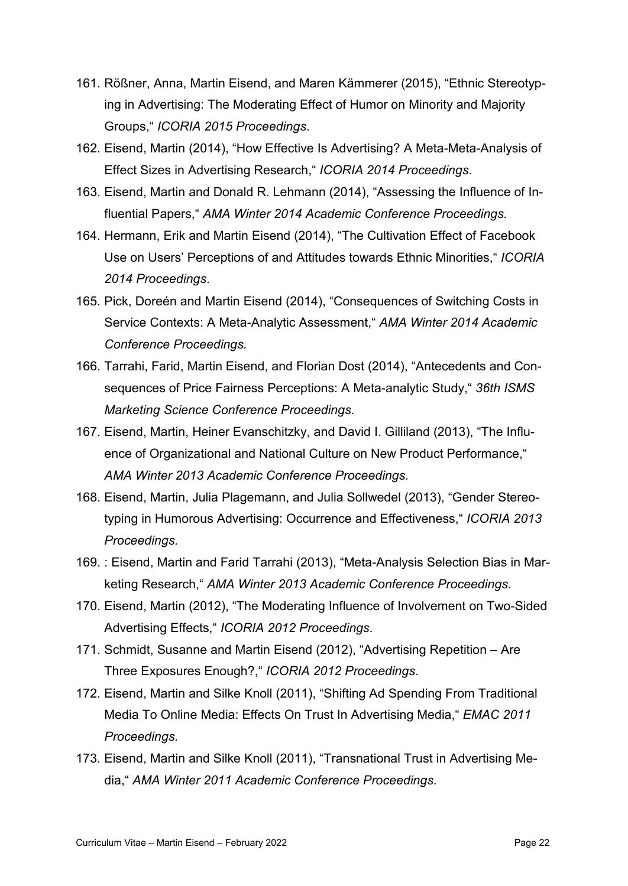- 161. Rößner, Anna, Martin Eisend, and Maren Kämmerer (2015), "Ethnic Stereotyping in Advertising: The Moderating Effect of Humor on Minority and Majority Groups," *ICORIA 2015 Proceedings*.
- 162. Eisend, Martin (2014), "How Effective Is Advertising? A Meta-Meta-Analysis of Effect Sizes in Advertising Research," *ICORIA 2014 Proceedings*.
- 163. Eisend, Martin and Donald R. Lehmann (2014), "Assessing the Influence of Influential Papers," *AMA Winter 2014 Academic Conference Proceedings.*
- 164. Hermann, Erik and Martin Eisend (2014), "The Cultivation Effect of Facebook Use on Users' Perceptions of and Attitudes towards Ethnic Minorities," *ICORIA 2014 Proceedings*.
- 165. Pick, Doreén and Martin Eisend (2014), "Consequences of Switching Costs in Service Contexts: A Meta-Analytic Assessment," *AMA Winter 2014 Academic Conference Proceedings.*
- 166. Tarrahi, Farid, Martin Eisend, and Florian Dost (2014), "Antecedents and Consequences of Price Fairness Perceptions: A Meta-analytic Study," *36th ISMS Marketing Science Conference Proceedings.*
- 167. Eisend, Martin, Heiner Evanschitzky, and David I. Gilliland (2013), "The Influence of Organizational and National Culture on New Product Performance," *AMA Winter 2013 Academic Conference Proceedings.*
- 168. Eisend, Martin, Julia Plagemann, and Julia Sollwedel (2013), "Gender Stereotyping in Humorous Advertising: Occurrence and Effectiveness," *ICORIA 2013 Proceedings.*
- 169. : Eisend, Martin and Farid Tarrahi (2013), "Meta-Analysis Selection Bias in Marketing Research," *AMA Winter 2013 Academic Conference Proceedings.*
- 170. Eisend, Martin (2012), "The Moderating Influence of Involvement on Two-Sided Advertising Effects," *ICORIA 2012 Proceedings*.
- 171. Schmidt, Susanne and Martin Eisend (2012), "Advertising Repetition Are Three Exposures Enough?," *ICORIA 2012 Proceedings*.
- 172. Eisend, Martin and Silke Knoll (2011), "Shifting Ad Spending From Traditional Media To Online Media: Effects On Trust In Advertising Media," *EMAC 2011 Proceedings.*
- 173. Eisend, Martin and Silke Knoll (2011), "Transnational Trust in Advertising Media," *AMA Winter 2011 Academic Conference Proceedings.*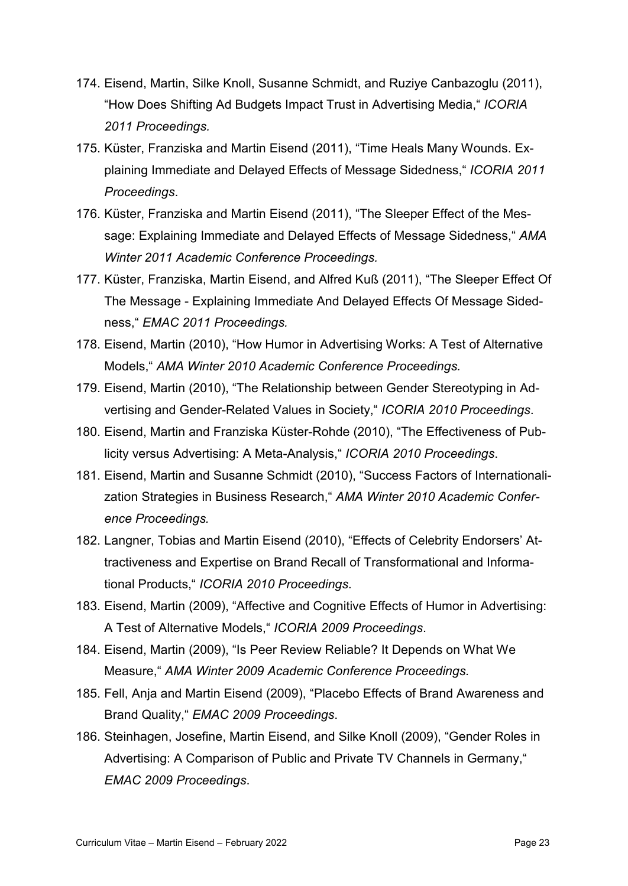- 174. Eisend, Martin, Silke Knoll, Susanne Schmidt, and Ruziye Canbazoglu (2011), "How Does Shifting Ad Budgets Impact Trust in Advertising Media," *ICORIA 2011 Proceedings.*
- 175. Küster, Franziska and Martin Eisend (2011), "Time Heals Many Wounds. Explaining Immediate and Delayed Effects of Message Sidedness," *ICORIA 2011 Proceedings*.
- 176. Küster, Franziska and Martin Eisend (2011), "The Sleeper Effect of the Message: Explaining Immediate and Delayed Effects of Message Sidedness," *AMA Winter 2011 Academic Conference Proceedings.*
- 177. Küster, Franziska, Martin Eisend, and Alfred Kuß (2011), "The Sleeper Effect Of The Message - Explaining Immediate And Delayed Effects Of Message Sidedness," *EMAC 2011 Proceedings.*
- 178. Eisend, Martin (2010), "How Humor in Advertising Works: A Test of Alternative Models," *AMA Winter 2010 Academic Conference Proceedings.*
- 179. Eisend, Martin (2010), "The Relationship between Gender Stereotyping in Advertising and Gender-Related Values in Society," *ICORIA 2010 Proceedings*.
- 180. Eisend, Martin and Franziska Küster-Rohde (2010), "The Effectiveness of Publicity versus Advertising: A Meta-Analysis," *ICORIA 2010 Proceedings*.
- 181. Eisend, Martin and Susanne Schmidt (2010), "Success Factors of Internationalization Strategies in Business Research," *AMA Winter 2010 Academic Conference Proceedings.*
- 182. Langner, Tobias and Martin Eisend (2010), "Effects of Celebrity Endorsers' Attractiveness and Expertise on Brand Recall of Transformational and Informational Products," *ICORIA 2010 Proceedings*.
- 183. Eisend, Martin (2009), "Affective and Cognitive Effects of Humor in Advertising: A Test of Alternative Models," *ICORIA 2009 Proceedings*.
- 184. Eisend, Martin (2009), "Is Peer Review Reliable? It Depends on What We Measure," *AMA Winter 2009 Academic Conference Proceedings.*
- 185. Fell, Anja and Martin Eisend (2009), "Placebo Effects of Brand Awareness and Brand Quality," *EMAC 2009 Proceedings*.
- 186. Steinhagen, Josefine, Martin Eisend, and Silke Knoll (2009), "Gender Roles in Advertising: A Comparison of Public and Private TV Channels in Germany," *EMAC 2009 Proceedings*.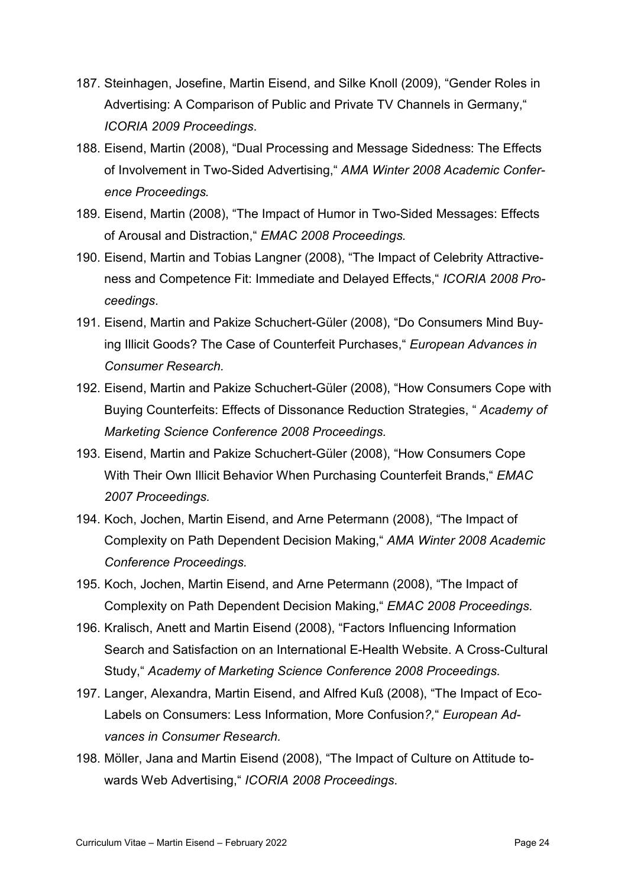- 187. Steinhagen, Josefine, Martin Eisend, and Silke Knoll (2009), "Gender Roles in Advertising: A Comparison of Public and Private TV Channels in Germany," *ICORIA 2009 Proceedings*.
- 188. Eisend, Martin (2008), "Dual Processing and Message Sidedness: The Effects of Involvement in Two-Sided Advertising," *AMA Winter 2008 Academic Conference Proceedings.*
- 189. Eisend, Martin (2008), "The Impact of Humor in Two-Sided Messages: Effects of Arousal and Distraction," *EMAC 2008 Proceedings.*
- 190. Eisend, Martin and Tobias Langner (2008), "The Impact of Celebrity Attractiveness and Competence Fit: Immediate and Delayed Effects," *ICORIA 2008 Proceedings*.
- 191. Eisend, Martin and Pakize Schuchert-Güler (2008), "Do Consumers Mind Buying Illicit Goods? The Case of Counterfeit Purchases," *European Advances in Consumer Research.*
- 192. Eisend, Martin and Pakize Schuchert-Güler (2008), "How Consumers Cope with Buying Counterfeits: Effects of Dissonance Reduction Strategies, " *Academy of Marketing Science Conference 2008 Proceedings.*
- 193. Eisend, Martin and Pakize Schuchert-Güler (2008), "How Consumers Cope With Their Own Illicit Behavior When Purchasing Counterfeit Brands," *EMAC 2007 Proceedings.*
- 194. Koch, Jochen, Martin Eisend, and Arne Petermann (2008), "The Impact of Complexity on Path Dependent Decision Making," *AMA Winter 2008 Academic Conference Proceedings.*
- 195. Koch, Jochen, Martin Eisend, and Arne Petermann (2008), "The Impact of Complexity on Path Dependent Decision Making," *EMAC 2008 Proceedings.*
- 196. Kralisch, Anett and Martin Eisend (2008), "Factors Influencing Information Search and Satisfaction on an International E-Health Website. A Cross-Cultural Study," *Academy of Marketing Science Conference 2008 Proceedings.*
- 197. Langer, Alexandra, Martin Eisend, and Alfred Kuß (2008), "The Impact of Eco-Labels on Consumers: Less Information, More Confusion*?,*" *European Advances in Consumer Research.*
- 198. Möller, Jana and Martin Eisend (2008), "The Impact of Culture on Attitude towards Web Advertising," *ICORIA 2008 Proceedings*.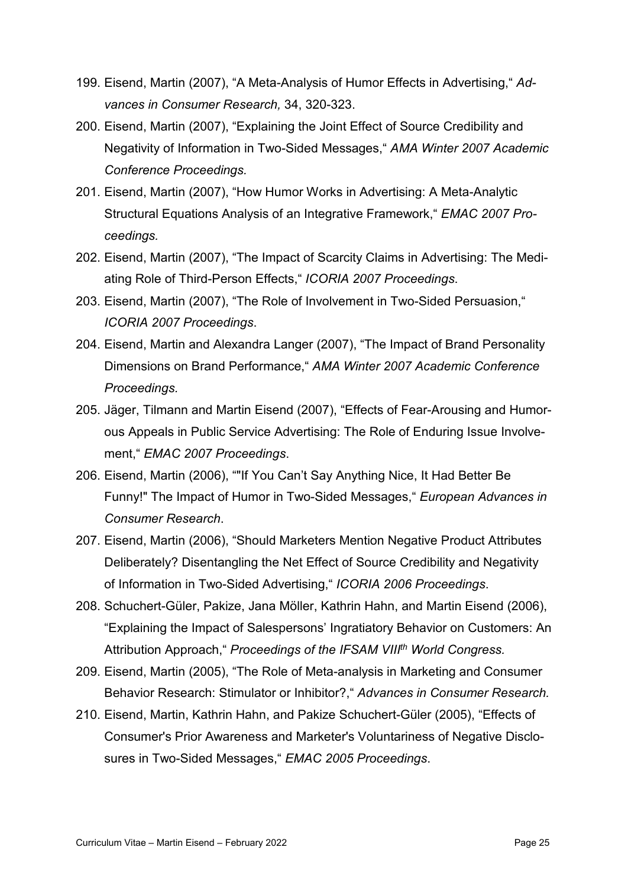- 199. Eisend, Martin (2007), "A Meta-Analysis of Humor Effects in Advertising," *Advances in Consumer Research,* 34, 320-323.
- 200. Eisend, Martin (2007), "Explaining the Joint Effect of Source Credibility and Negativity of Information in Two-Sided Messages," *AMA Winter 2007 Academic Conference Proceedings.*
- 201. Eisend, Martin (2007), "How Humor Works in Advertising: A Meta-Analytic Structural Equations Analysis of an Integrative Framework," *EMAC 2007 Proceedings.*
- 202. Eisend, Martin (2007), "The Impact of Scarcity Claims in Advertising: The Mediating Role of Third-Person Effects," *ICORIA 2007 Proceedings*.
- 203. Eisend, Martin (2007), "The Role of Involvement in Two-Sided Persuasion," *ICORIA 2007 Proceedings*.
- 204. Eisend, Martin and Alexandra Langer (2007), "The Impact of Brand Personality Dimensions on Brand Performance," *AMA Winter 2007 Academic Conference Proceedings.*
- 205. Jäger, Tilmann and Martin Eisend (2007), "Effects of Fear-Arousing and Humorous Appeals in Public Service Advertising: The Role of Enduring Issue Involvement," *EMAC 2007 Proceedings*.
- 206. Eisend, Martin (2006), ""If You Can't Say Anything Nice, It Had Better Be Funny!" The Impact of Humor in Two-Sided Messages," *European Advances in Consumer Research*.
- 207. Eisend, Martin (2006), "Should Marketers Mention Negative Product Attributes Deliberately? Disentangling the Net Effect of Source Credibility and Negativity of Information in Two-Sided Advertising," *ICORIA 2006 Proceedings*.
- 208. Schuchert-Güler, Pakize, Jana Möller, Kathrin Hahn, and Martin Eisend (2006), "Explaining the Impact of Salespersons' Ingratiatory Behavior on Customers: An Attribution Approach," *Proceedings of the IFSAM VIIIth World Congress.*
- 209. Eisend, Martin (2005), "The Role of Meta-analysis in Marketing and Consumer Behavior Research: Stimulator or Inhibitor?," *Advances in Consumer Research.*
- 210. Eisend, Martin, Kathrin Hahn, and Pakize Schuchert-Güler (2005), "Effects of Consumer's Prior Awareness and Marketer's Voluntariness of Negative Disclosures in Two-Sided Messages," *EMAC 2005 Proceedings*.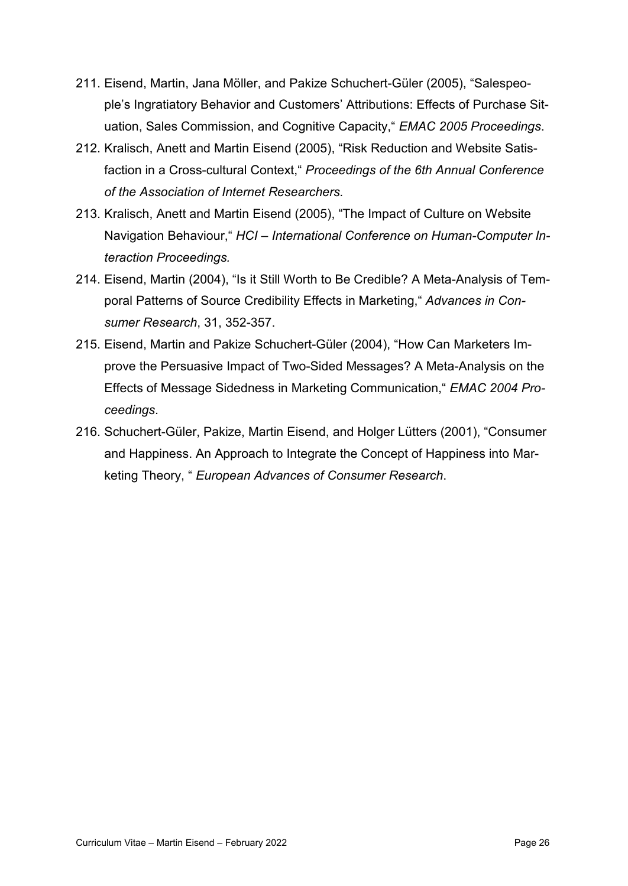- 211. Eisend, Martin, Jana Möller, and Pakize Schuchert-Güler (2005), "Salespeople's Ingratiatory Behavior and Customers' Attributions: Effects of Purchase Situation, Sales Commission, and Cognitive Capacity," *EMAC 2005 Proceedings*.
- 212. Kralisch, Anett and Martin Eisend (2005), "Risk Reduction and Website Satisfaction in a Cross-cultural Context," *Proceedings of the 6th Annual Conference of the Association of Internet Researchers.*
- 213. Kralisch, Anett and Martin Eisend (2005), "The Impact of Culture on Website Navigation Behaviour," *HCI – International Conference on Human-Computer Interaction Proceedings.*
- 214. Eisend, Martin (2004), "Is it Still Worth to Be Credible? A Meta-Analysis of Temporal Patterns of Source Credibility Effects in Marketing," *Advances in Consumer Research*, 31, 352-357.
- 215. Eisend, Martin and Pakize Schuchert-Güler (2004), "How Can Marketers Improve the Persuasive Impact of Two-Sided Messages? A Meta-Analysis on the Effects of Message Sidedness in Marketing Communication," *EMAC 2004 Proceedings*.
- 216. Schuchert-Güler, Pakize, Martin Eisend, and Holger Lütters (2001), "Consumer and Happiness. An Approach to Integrate the Concept of Happiness into Marketing Theory, " *European Advances of Consumer Research*.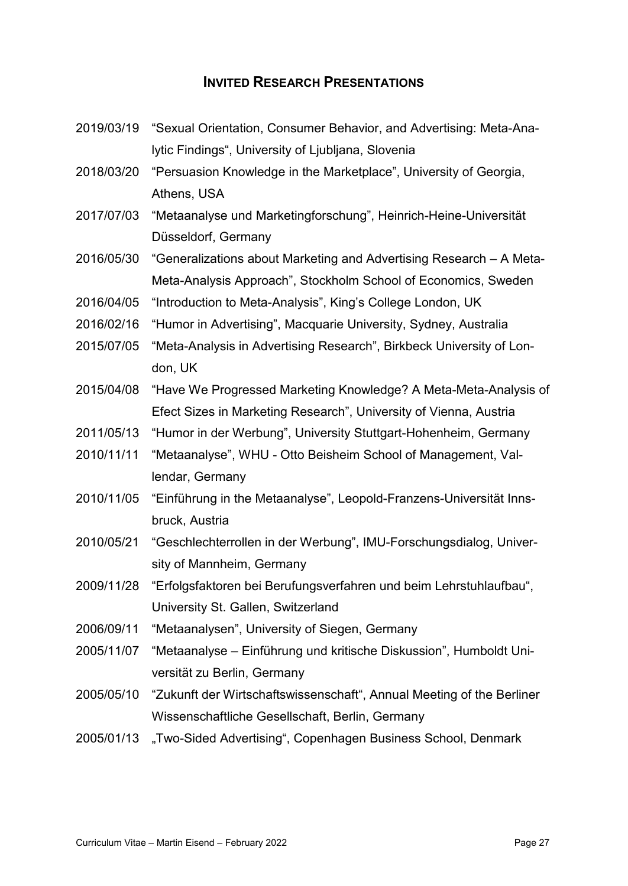## **INVITED RESEARCH PRESENTATIONS**

- <span id="page-29-0"></span>2019/03/19 "Sexual Orientation, Consumer Behavior, and Advertising: Meta-Analytic Findings", University of Ljubljana, Slovenia
- 2018/03/20 "Persuasion Knowledge in the Marketplace", University of Georgia, Athens, USA
- 2017/07/03 "Metaanalyse und Marketingforschung", Heinrich-Heine-Universität Düsseldorf, Germany
- 2016/05/30 "Generalizations about Marketing and Advertising Research A Meta-Meta-Analysis Approach", Stockholm School of Economics, Sweden
- 2016/04/05 "Introduction to Meta-Analysis", King's College London, UK
- 2016/02/16 "Humor in Advertising", Macquarie University, Sydney, Australia
- 2015/07/05 "Meta-Analysis in Advertising Research", Birkbeck University of London, UK
- 2015/04/08 "Have We Progressed Marketing Knowledge? A Meta-Meta-Analysis of Efect Sizes in Marketing Research", University of Vienna, Austria
- 2011/05/13 "Humor in der Werbung", University Stuttgart-Hohenheim, Germany
- 2010/11/11 "Metaanalyse", WHU Otto Beisheim School of Management, Vallendar, Germany
- 2010/11/05 "Einführung in the Metaanalyse", Leopold-Franzens-Universität Innsbruck, Austria
- 2010/05/21 "Geschlechterrollen in der Werbung", IMU-Forschungsdialog, University of Mannheim, Germany
- 2009/11/28 "Erfolgsfaktoren bei Berufungsverfahren und beim Lehrstuhlaufbau", University St. Gallen, Switzerland
- 2006/09/11 "Metaanalysen", University of Siegen, Germany
- 2005/11/07 "Metaanalyse Einführung und kritische Diskussion", Humboldt Universität zu Berlin, Germany
- 2005/05/10 "Zukunft der Wirtschaftswissenschaft", Annual Meeting of the Berliner Wissenschaftliche Gesellschaft, Berlin, Germany
- 2005/01/13 "Two-Sided Advertising", Copenhagen Business School, Denmark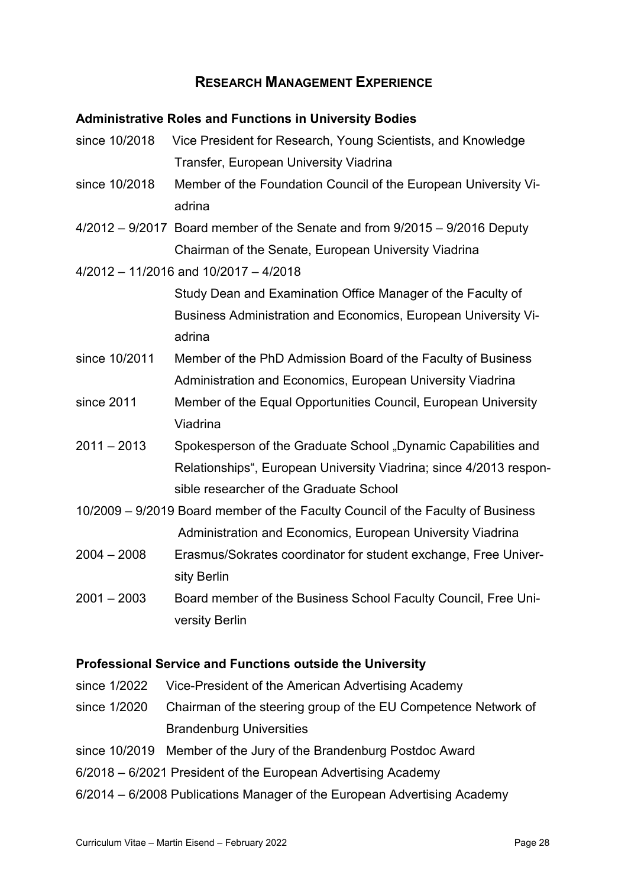## **RESEARCH MANAGEMENT EXPERIENCE**

## <span id="page-30-1"></span><span id="page-30-0"></span>**Administrative Roles and Functions in University Bodies**

- since 10/2018 Vice President for Research, Young Scientists, and Knowledge Transfer, European University Viadrina
- since 10/2018 Member of the Foundation Council of the European University Viadrina
- 4/2012 9/2017 Board member of the Senate and from 9/2015 9/2016 Deputy Chairman of the Senate, European University Viadrina
- 4/2012 11/2016 and 10/2017 4/2018

Study Dean and Examination Office Manager of the Faculty of Business Administration and Economics, European University Viadrina

- since 10/2011 Member of the PhD Admission Board of the Faculty of Business Administration and Economics, European University Viadrina
- since 2011 Member of the Equal Opportunities Council, European University Viadrina
- 2011 2013 Spokesperson of the Graduate School "Dynamic Capabilities and Relationships", European University Viadrina; since 4/2013 responsible researcher of the Graduate School
- 10/2009 9/2019 Board member of the Faculty Council of the Faculty of Business Administration and Economics, European University Viadrina
- 2004 2008 Erasmus/Sokrates coordinator for student exchange, Free University Berlin
- 2001 2003 Board member of the Business School Faculty Council, Free University Berlin

## <span id="page-30-2"></span>**Professional Service and Functions outside the University**

- since 1/2022 Vice-President of the American Advertising Academy
- since 1/2020 Chairman of the steering group of the EU Competence Network of Brandenburg Universities
- since 10/2019 Member of the Jury of the Brandenburg Postdoc Award
- 6/2018 6/2021 President of the European Advertising Academy
- 6/2014 6/2008 Publications Manager of the European Advertising Academy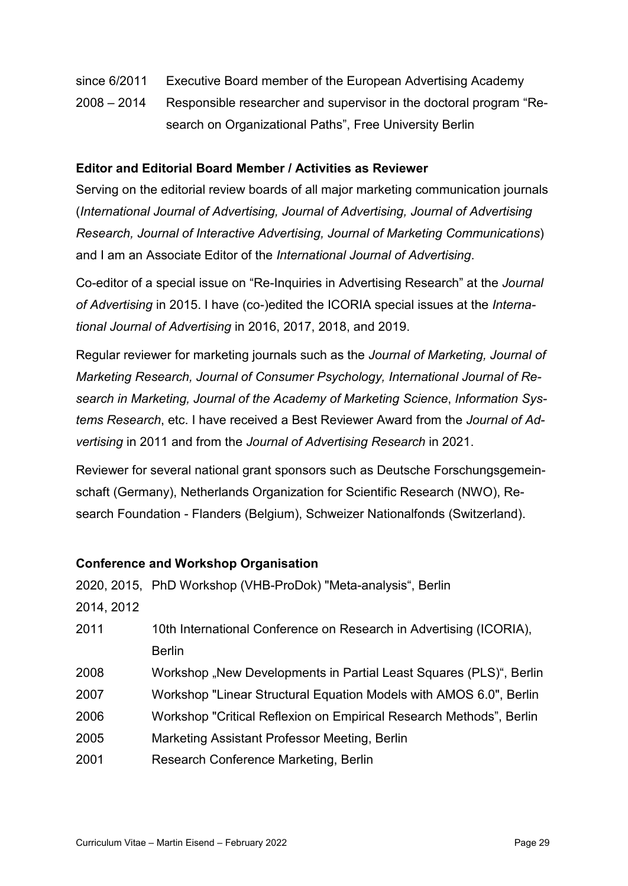- since 6/2011 Executive Board member of the European Advertising Academy
- 2008 2014 Responsible researcher and supervisor in the doctoral program "Research on Organizational Paths", Free University Berlin

#### <span id="page-31-0"></span>**Editor and Editorial Board Member / Activities as Reviewer**

Serving on the editorial review boards of all major marketing communication journals (*International Journal of Advertising, Journal of Advertising, Journal of Advertising Research, Journal of Interactive Advertising, Journal of Marketing Communications*) and I am an Associate Editor of the *International Journal of Advertising*.

Co-editor of a special issue on "Re-Inquiries in Advertising Research" at the *Journal of Advertising* in 2015. I have (co-)edited the ICORIA special issues at the *International Journal of Advertising* in 2016, 2017, 2018, and 2019.

Regular reviewer for marketing journals such as the *Journal of Marketing, Journal of Marketing Research, Journal of Consumer Psychology, International Journal of Research in Marketing, Journal of the Academy of Marketing Science*, *Information Systems Research*, etc. I have received a Best Reviewer Award from the *Journal of Advertising* in 2011 and from the *Journal of Advertising Research* in 2021.

Reviewer for several national grant sponsors such as Deutsche Forschungsgemeinschaft (Germany), Netherlands Organization for Scientific Research (NWO), Research Foundation - Flanders (Belgium), Schweizer Nationalfonds (Switzerland).

## <span id="page-31-1"></span>**Conference and Workshop Organisation**

|            | 2020, 2015, PhD Workshop (VHB-ProDok) "Meta-analysis", Berlin       |
|------------|---------------------------------------------------------------------|
| 2014, 2012 |                                                                     |
| 2011       | 10th International Conference on Research in Advertising (ICORIA),  |
|            | <b>Berlin</b>                                                       |
| 2008       | Workshop "New Developments in Partial Least Squares (PLS)", Berlin  |
| 2007       | Workshop "Linear Structural Equation Models with AMOS 6.0", Berlin  |
| 2006       | Workshop "Critical Reflexion on Empirical Research Methods", Berlin |
| 2005       | Marketing Assistant Professor Meeting, Berlin                       |
| 2001       | Research Conference Marketing, Berlin                               |
|            |                                                                     |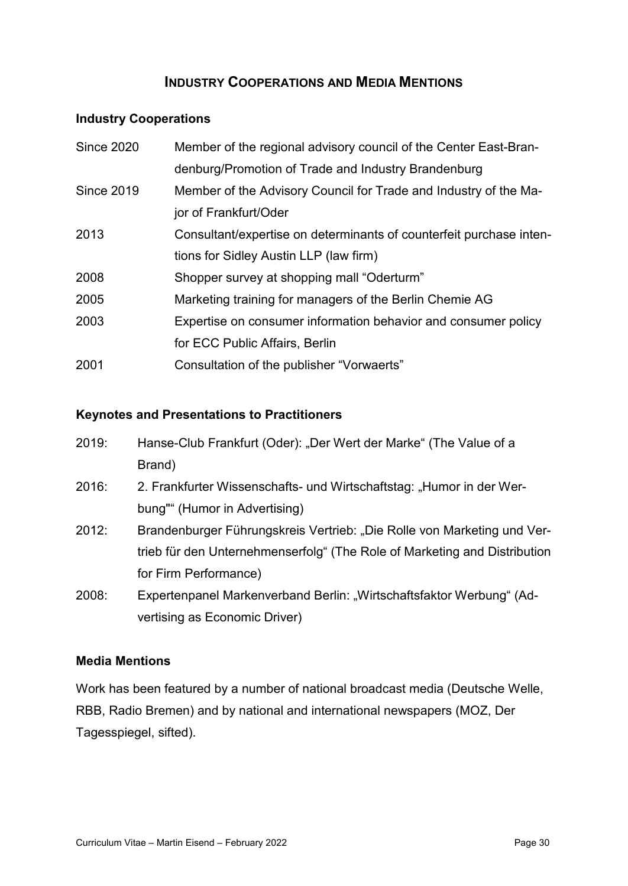## **INDUSTRY COOPERATIONS AND MEDIA MENTIONS**

## <span id="page-32-0"></span>**Industry Cooperations**

| <b>Since 2020</b> | Member of the regional advisory council of the Center East-Bran-    |
|-------------------|---------------------------------------------------------------------|
|                   | denburg/Promotion of Trade and Industry Brandenburg                 |
| <b>Since 2019</b> | Member of the Advisory Council for Trade and Industry of the Ma-    |
|                   | jor of Frankfurt/Oder                                               |
| 2013              | Consultant/expertise on determinants of counterfeit purchase inten- |
|                   | tions for Sidley Austin LLP (law firm)                              |
| 2008              | Shopper survey at shopping mall "Oderturm"                          |
| 2005              | Marketing training for managers of the Berlin Chemie AG             |
| 2003              | Expertise on consumer information behavior and consumer policy      |
|                   | for ECC Public Affairs, Berlin                                      |
| 2001              | Consultation of the publisher "Vorwaerts"                           |

## **Keynotes and Presentations to Practitioners**

| 2019: | Hanse-Club Frankfurt (Oder): "Der Wert der Marke" (The Value of a |
|-------|-------------------------------------------------------------------|
|       | Brand)                                                            |

- 2016: 2. Frankfurter Wissenschafts- und Wirtschaftstag: "Humor in der Werbung"" (Humor in Advertising)
- 2012: Brandenburger Führungskreis Vertrieb: "Die Rolle von Marketing und Vertrieb für den Unternehmenserfolg" (The Role of Marketing and Distribution for Firm Performance)
- 2008: Expertenpanel Markenverband Berlin: "Wirtschaftsfaktor Werbung" (Advertising as Economic Driver)

## **Media Mentions**

Work has been featured by a number of national broadcast media (Deutsche Welle, RBB, Radio Bremen) and by national and international newspapers (MOZ, Der Tagesspiegel, sifted).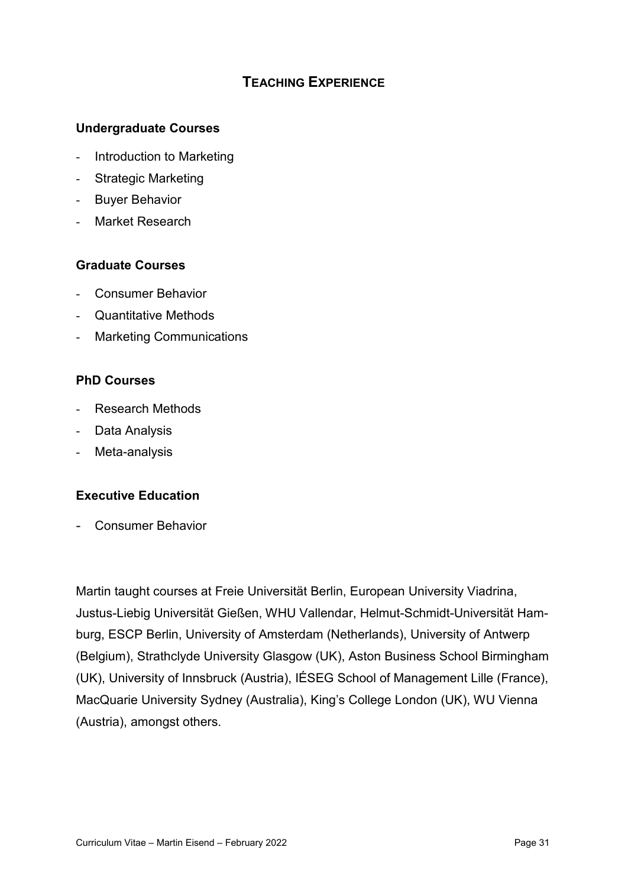# **TEACHING EXPERIENCE**

## <span id="page-33-0"></span>**Undergraduate Courses**

- Introduction to Marketing
- Strategic Marketing
- **Buyer Behavior**
- Market Research

## **Graduate Courses**

- Consumer Behavior
- Quantitative Methods
- **Marketing Communications**

## **PhD Courses**

- Research Methods
- Data Analysis
- Meta-analysis

## **Executive Education**

- Consumer Behavior

Martin taught courses at Freie Universität Berlin, European University Viadrina, Justus-Liebig Universität Gießen, WHU Vallendar, Helmut-Schmidt-Universität Hamburg, ESCP Berlin, University of Amsterdam (Netherlands), University of Antwerp (Belgium), Strathclyde University Glasgow (UK), Aston Business School Birmingham (UK), University of Innsbruck (Austria), IÉSEG School of Management Lille (France), MacQuarie University Sydney (Australia), King's College London (UK), WU Vienna (Austria), amongst others.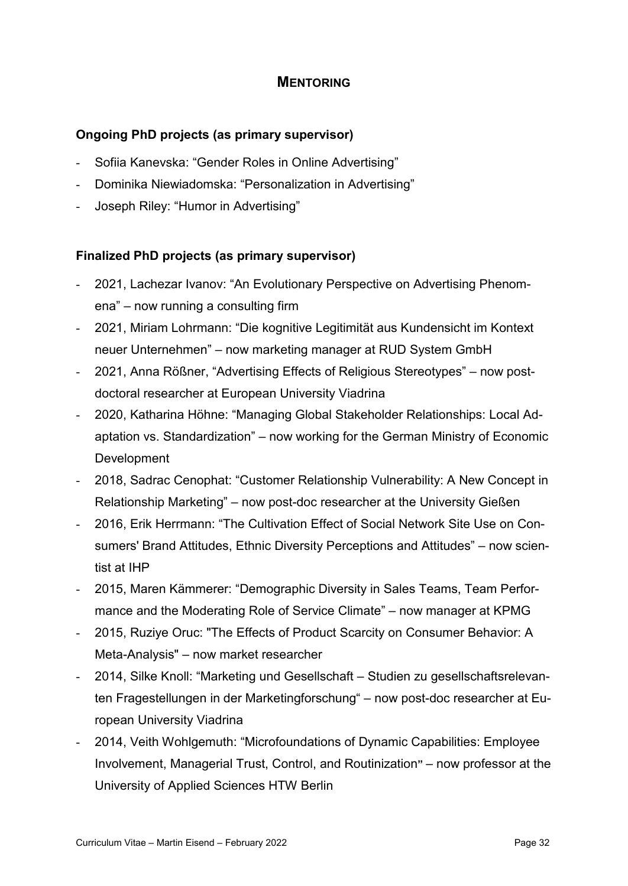## **MENTORING**

## <span id="page-34-0"></span>**Ongoing PhD projects (as primary supervisor)**

- Sofiia Kanevska: "Gender Roles in Online Advertising"
- Dominika Niewiadomska: "Personalization in Advertising"
- Joseph Riley: "Humor in Advertising"

## **Finalized PhD projects (as primary supervisor)**

- 2021, Lachezar Ivanov: "An Evolutionary Perspective on Advertising Phenomena" – now running a consulting firm
- 2021, Miriam Lohrmann: "Die kognitive Legitimität aus Kundensicht im Kontext neuer Unternehmen" – now marketing manager at RUD System GmbH
- 2021, Anna Rößner, "Advertising Effects of Religious Stereotypes" now postdoctoral researcher at European University Viadrina
- 2020, Katharina Höhne: "Managing Global Stakeholder Relationships: Local Adaptation vs. Standardization" – now working for the German Ministry of Economic Development
- 2018, Sadrac Cenophat: "Customer Relationship Vulnerability: A New Concept in Relationship Marketing" – now post-doc researcher at the University Gießen
- 2016, Erik Herrmann: "The Cultivation Effect of Social Network Site Use on Consumers' Brand Attitudes, Ethnic Diversity Perceptions and Attitudes" – now scientist at IHP
- 2015, Maren Kämmerer: "Demographic Diversity in Sales Teams, Team Performance and the Moderating Role of Service Climate" – now manager at KPMG
- 2015, Ruziye Oruc: "The Effects of Product Scarcity on Consumer Behavior: A Meta-Analysis" – now market researcher
- 2014, Silke Knoll: "Marketing und Gesellschaft Studien zu gesellschaftsrelevanten Fragestellungen in der Marketingforschung" – now post-doc researcher at European University Viadrina
- 2014, Veith Wohlgemuth: "Microfoundations of Dynamic Capabilities: Employee Involvement, Managerial Trust, Control, and Routinization**"** – now professor at the University of Applied Sciences HTW Berlin